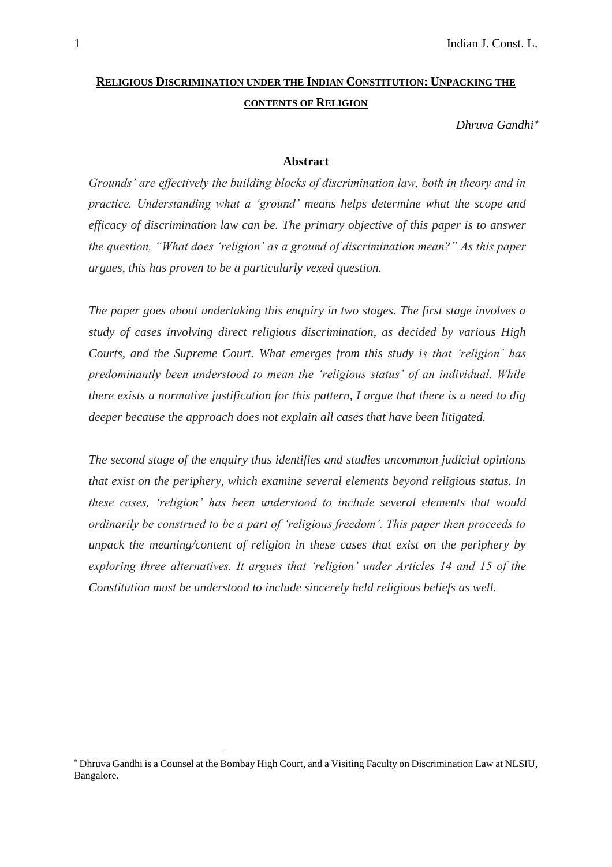# **RELIGIOUS DISCRIMINATION UNDER THE INDIAN CONSTITUTION: UNPACKING THE CONTENTS OF RELIGION**

*Dhruva Gandhi*

### **Abstract**

*Grounds' are effectively the building blocks of discrimination law, both in theory and in practice. Understanding what a 'ground' means helps determine what the scope and efficacy of discrimination law can be. The primary objective of this paper is to answer the question, "What does 'religion' as a ground of discrimination mean?" As this paper argues, this has proven to be a particularly vexed question.*

*The paper goes about undertaking this enquiry in two stages. The first stage involves a study of cases involving direct religious discrimination, as decided by various High Courts, and the Supreme Court. What emerges from this study is that 'religion' has predominantly been understood to mean the 'religious status' of an individual. While there exists a normative justification for this pattern, I argue that there is a need to dig deeper because the approach does not explain all cases that have been litigated.*

*The second stage of the enquiry thus identifies and studies uncommon judicial opinions that exist on the periphery, which examine several elements beyond religious status. In these cases, 'religion' has been understood to include several elements that would ordinarily be construed to be a part of 'religious freedom'. This paper then proceeds to unpack the meaning/content of religion in these cases that exist on the periphery by exploring three alternatives. It argues that 'religion' under Articles 14 and 15 of the Constitution must be understood to include sincerely held religious beliefs as well.*

Dhruva Gandhi is a Counsel at the Bombay High Court, and a Visiting Faculty on Discrimination Law at NLSIU, Bangalore.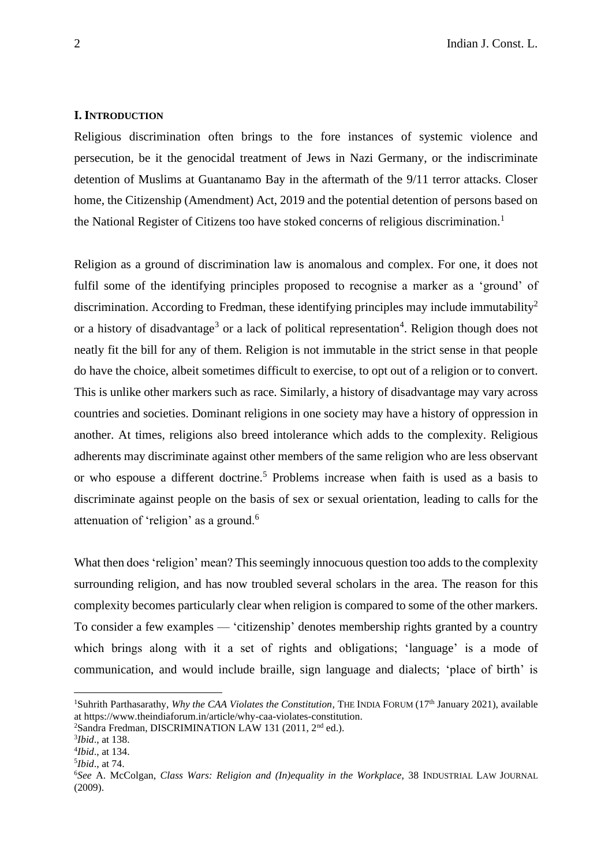#### **I. INTRODUCTION**

Religious discrimination often brings to the fore instances of systemic violence and persecution, be it the genocidal treatment of Jews in Nazi Germany, or the indiscriminate detention of Muslims at Guantanamo Bay in the aftermath of the 9/11 terror attacks. Closer home, the Citizenship (Amendment) Act, 2019 and the potential detention of persons based on the National Register of Citizens too have stoked concerns of religious discrimination.<sup>1</sup>

Religion as a ground of discrimination law is anomalous and complex. For one, it does not fulfil some of the identifying principles proposed to recognise a marker as a 'ground' of discrimination. According to Fredman, these identifying principles may include immutability<sup>2</sup> or a history of disadvantage<sup>3</sup> or a lack of political representation<sup>4</sup>. Religion though does not neatly fit the bill for any of them. Religion is not immutable in the strict sense in that people do have the choice, albeit sometimes difficult to exercise, to opt out of a religion or to convert. This is unlike other markers such as race. Similarly, a history of disadvantage may vary across countries and societies. Dominant religions in one society may have a history of oppression in another. At times, religions also breed intolerance which adds to the complexity. Religious adherents may discriminate against other members of the same religion who are less observant or who espouse a different doctrine.<sup>5</sup> Problems increase when faith is used as a basis to discriminate against people on the basis of sex or sexual orientation, leading to calls for the attenuation of 'religion' as a ground.<sup>6</sup>

What then does 'religion' mean? This seemingly innocuous question too adds to the complexity surrounding religion, and has now troubled several scholars in the area. The reason for this complexity becomes particularly clear when religion is compared to some of the other markers. To consider a few examples — 'citizenship' denotes membership rights granted by a country which brings along with it a set of rights and obligations; 'language' is a mode of communication, and would include braille, sign language and dialects; 'place of birth' is

<sup>&</sup>lt;sup>1</sup>Suhrith Parthasarathy, *Why the CAA Violates the Constitution*, THE INDIA FORUM (17<sup>th</sup> January 2021), available at https://www.theindiaforum.in/article/why-caa-violates-constitution.

<sup>&</sup>lt;sup>2</sup>Sandra Fredman, DISCRIMINATION LAW 131 (2011, 2<sup>nd</sup> ed.).

<sup>3</sup> *Ibid*., at 138.

<sup>4</sup> *Ibid*., at 134.

<sup>5</sup> *Ibid*., at 74.

<sup>6</sup>*See* A. McColgan, *Class Wars: Religion and (In)equality in the Workplace*, 38 INDUSTRIAL LAW JOURNAL (2009).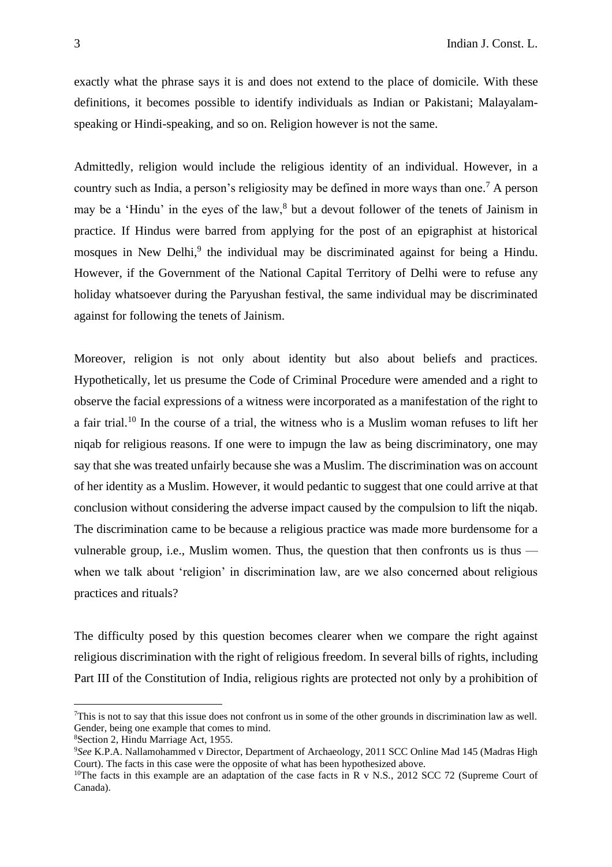exactly what the phrase says it is and does not extend to the place of domicile. With these definitions, it becomes possible to identify individuals as Indian or Pakistani; Malayalamspeaking or Hindi-speaking, and so on. Religion however is not the same.

Admittedly, religion would include the religious identity of an individual. However, in a country such as India, a person's religiosity may be defined in more ways than one. <sup>7</sup> A person may be a 'Hindu' in the eyes of the law, <sup>8</sup> but a devout follower of the tenets of Jainism in practice. If Hindus were barred from applying for the post of an epigraphist at historical mosques in New Delhi,<sup>9</sup> the individual may be discriminated against for being a Hindu. However, if the Government of the National Capital Territory of Delhi were to refuse any holiday whatsoever during the Paryushan festival, the same individual may be discriminated against for following the tenets of Jainism.

Moreover, religion is not only about identity but also about beliefs and practices. Hypothetically, let us presume the Code of Criminal Procedure were amended and a right to observe the facial expressions of a witness were incorporated as a manifestation of the right to a fair trial.<sup>10</sup> In the course of a trial, the witness who is a Muslim woman refuses to lift her niqab for religious reasons. If one were to impugn the law as being discriminatory, one may say that she was treated unfairly because she was a Muslim. The discrimination was on account of her identity as a Muslim. However, it would pedantic to suggest that one could arrive at that conclusion without considering the adverse impact caused by the compulsion to lift the niqab. The discrimination came to be because a religious practice was made more burdensome for a vulnerable group, i.e., Muslim women. Thus, the question that then confronts us is thus when we talk about 'religion' in discrimination law, are we also concerned about religious practices and rituals?

The difficulty posed by this question becomes clearer when we compare the right against religious discrimination with the right of religious freedom. In several bills of rights, including Part III of the Constitution of India, religious rights are protected not only by a prohibition of

<sup>7</sup>This is not to say that this issue does not confront us in some of the other grounds in discrimination law as well. Gender, being one example that comes to mind.

<sup>8</sup>Section 2, Hindu Marriage Act, 1955.

<sup>9</sup>*See* K.P.A. Nallamohammed v Director, Department of Archaeology, 2011 SCC Online Mad 145 (Madras High Court). The facts in this case were the opposite of what has been hypothesized above.

<sup>&</sup>lt;sup>10</sup>The facts in this example are an adaptation of the case facts in R v N.S., 2012 SCC 72 (Supreme Court of Canada).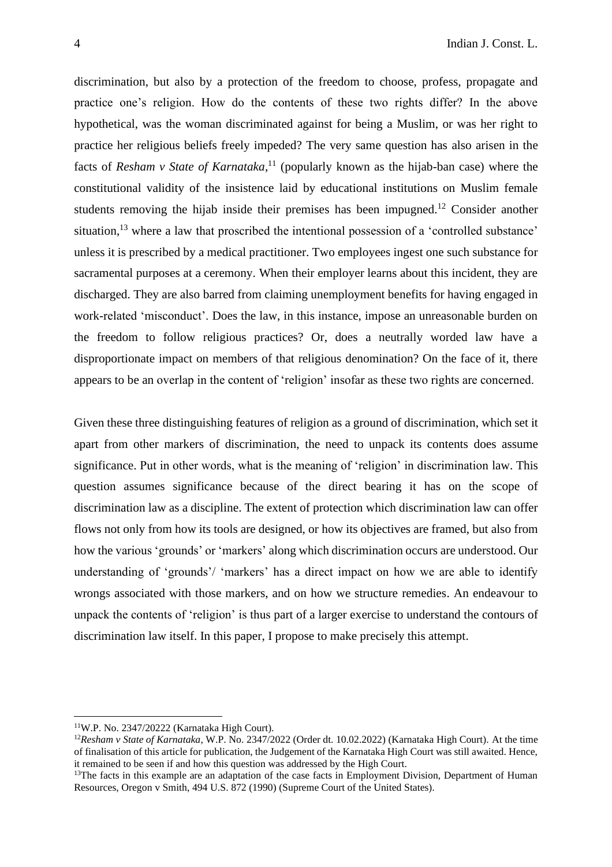discrimination, but also by a protection of the freedom to choose, profess, propagate and practice one's religion. How do the contents of these two rights differ? In the above hypothetical, was the woman discriminated against for being a Muslim, or was her right to practice her religious beliefs freely impeded? The very same question has also arisen in the facts of *Resham v State of Karnataka*, <sup>11</sup> (popularly known as the hijab-ban case) where the constitutional validity of the insistence laid by educational institutions on Muslim female students removing the hijab inside their premises has been impugned.<sup>12</sup> Consider another situation,<sup>13</sup> where a law that proscribed the intentional possession of a 'controlled substance' unless it is prescribed by a medical practitioner. Two employees ingest one such substance for sacramental purposes at a ceremony. When their employer learns about this incident, they are discharged. They are also barred from claiming unemployment benefits for having engaged in work-related 'misconduct'. Does the law, in this instance, impose an unreasonable burden on the freedom to follow religious practices? Or, does a neutrally worded law have a disproportionate impact on members of that religious denomination? On the face of it, there appears to be an overlap in the content of 'religion' insofar as these two rights are concerned.

Given these three distinguishing features of religion as a ground of discrimination, which set it apart from other markers of discrimination, the need to unpack its contents does assume significance. Put in other words, what is the meaning of 'religion' in discrimination law. This question assumes significance because of the direct bearing it has on the scope of discrimination law as a discipline. The extent of protection which discrimination law can offer flows not only from how its tools are designed, or how its objectives are framed, but also from how the various 'grounds' or 'markers' along which discrimination occurs are understood. Our understanding of 'grounds'/ 'markers' has a direct impact on how we are able to identify wrongs associated with those markers, and on how we structure remedies. An endeavour to unpack the contents of 'religion' is thus part of a larger exercise to understand the contours of discrimination law itself. In this paper, I propose to make precisely this attempt.

<sup>11</sup>W.P. No. 2347/20222 (Karnataka High Court).

<sup>12</sup>*Resham v State of Karnataka*, W.P. No. 2347/2022 (Order dt. 10.02.2022) (Karnataka High Court). At the time of finalisation of this article for publication, the Judgement of the Karnataka High Court was still awaited. Hence, it remained to be seen if and how this question was addressed by the High Court.

<sup>&</sup>lt;sup>13</sup>The facts in this example are an adaptation of the case facts in Employment Division, Department of Human Resources, Oregon v Smith, 494 U.S. 872 (1990) (Supreme Court of the United States).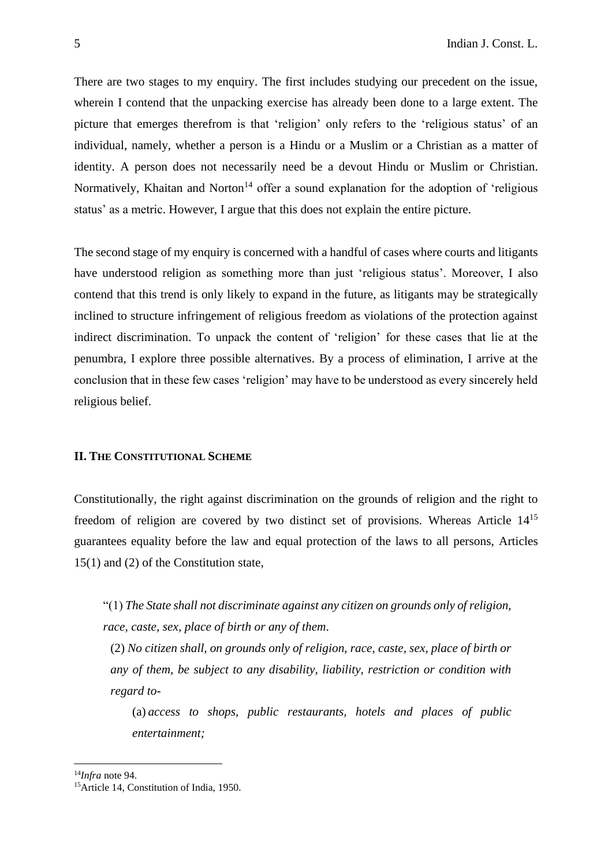There are two stages to my enquiry. The first includes studying our precedent on the issue, wherein I contend that the unpacking exercise has already been done to a large extent. The picture that emerges therefrom is that 'religion' only refers to the 'religious status' of an individual, namely, whether a person is a Hindu or a Muslim or a Christian as a matter of identity. A person does not necessarily need be a devout Hindu or Muslim or Christian. Normatively, Khaitan and Norton<sup>14</sup> offer a sound explanation for the adoption of 'religious status' as a metric. However, I argue that this does not explain the entire picture.

The second stage of my enquiry is concerned with a handful of cases where courts and litigants have understood religion as something more than just 'religious status'. Moreover, I also contend that this trend is only likely to expand in the future, as litigants may be strategically inclined to structure infringement of religious freedom as violations of the protection against indirect discrimination. To unpack the content of 'religion' for these cases that lie at the penumbra, I explore three possible alternatives. By a process of elimination, I arrive at the conclusion that in these few cases 'religion' may have to be understood as every sincerely held religious belief.

## **II. THE CONSTITUTIONAL SCHEME**

Constitutionally, the right against discrimination on the grounds of religion and the right to freedom of religion are covered by two distinct set of provisions. Whereas Article 14<sup>15</sup> guarantees equality before the law and equal protection of the laws to all persons, Articles 15(1) and (2) of the Constitution state,

"(1) *The State shall not discriminate against any citizen on grounds only of religion, race, caste, sex, place of birth or any of them*.

(2) *No citizen shall, on grounds only of religion, race, caste, sex, place of birth or any of them, be subject to any disability, liability, restriction or condition with regard to-*

(a) *access to shops, public restaurants, hotels and places of public entertainment;*

<sup>14</sup>*Infra* note 94.

<sup>&</sup>lt;sup>15</sup>Article 14, Constitution of India, 1950.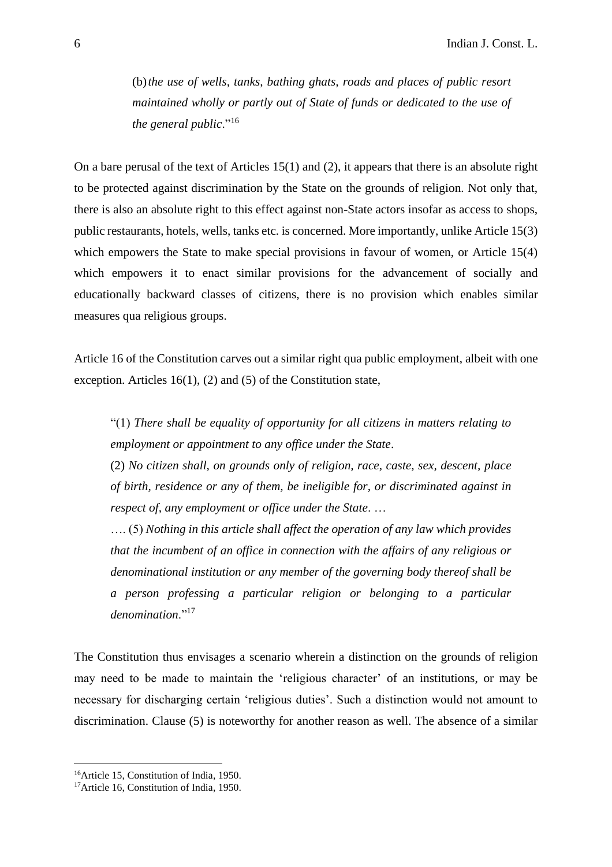(b)*the use of wells, tanks, bathing ghats, roads and places of public resort maintained wholly or partly out of State of funds or dedicated to the use of the general public*."<sup>16</sup>

On a bare perusal of the text of Articles 15(1) and (2), it appears that there is an absolute right to be protected against discrimination by the State on the grounds of religion. Not only that, there is also an absolute right to this effect against non-State actors insofar as access to shops, public restaurants, hotels, wells, tanks etc. is concerned. More importantly, unlike Article 15(3) which empowers the State to make special provisions in favour of women, or Article 15(4) which empowers it to enact similar provisions for the advancement of socially and educationally backward classes of citizens, there is no provision which enables similar measures qua religious groups.

Article 16 of the Constitution carves out a similar right qua public employment, albeit with one exception. Articles 16(1), (2) and (5) of the Constitution state,

"(1) *There shall be equality of opportunity for all citizens in matters relating to employment or appointment to any office under the State*.

(2) *No citizen shall, on grounds only of religion, race, caste, sex, descent, place of birth, residence or any of them, be ineligible for, or discriminated against in respect of, any employment or office under the State*. …

…. (5) *Nothing in this article shall affect the operation of any law which provides that the incumbent of an office in connection with the affairs of any religious or denominational institution or any member of the governing body thereof shall be a person professing a particular religion or belonging to a particular denomination*."<sup>17</sup>

The Constitution thus envisages a scenario wherein a distinction on the grounds of religion may need to be made to maintain the 'religious character' of an institutions, or may be necessary for discharging certain 'religious duties'. Such a distinction would not amount to discrimination. Clause (5) is noteworthy for another reason as well. The absence of a similar

<sup>16</sup>Article 15, Constitution of India, 1950.

<sup>&</sup>lt;sup>17</sup>Article 16, Constitution of India, 1950.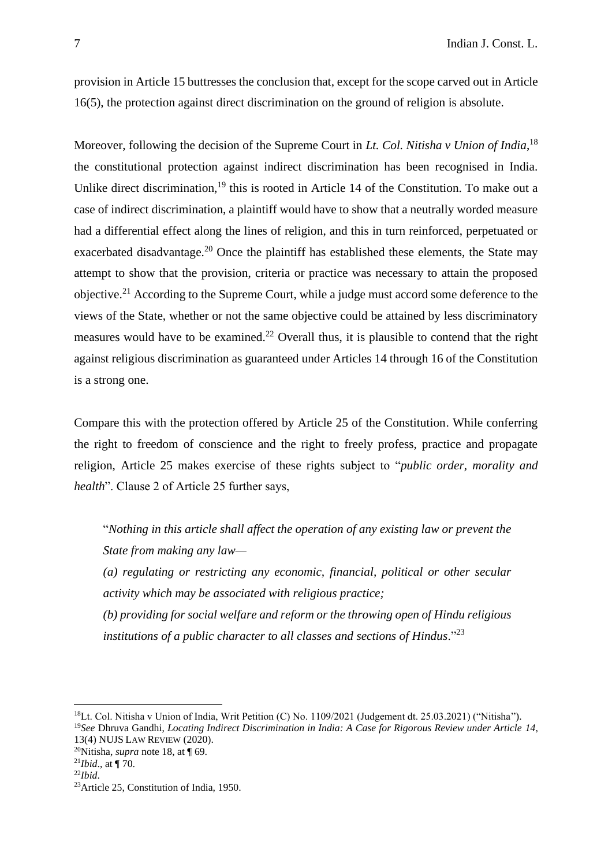provision in Article 15 buttresses the conclusion that, except for the scope carved out in Article 16(5), the protection against direct discrimination on the ground of religion is absolute.

Moreover, following the decision of the Supreme Court in *Lt. Col. Nitisha v Union of India*, 18 the constitutional protection against indirect discrimination has been recognised in India. Unlike direct discrimination,<sup>19</sup> this is rooted in Article 14 of the Constitution. To make out a case of indirect discrimination, a plaintiff would have to show that a neutrally worded measure had a differential effect along the lines of religion, and this in turn reinforced, perpetuated or exacerbated disadvantage.<sup>20</sup> Once the plaintiff has established these elements, the State may attempt to show that the provision, criteria or practice was necessary to attain the proposed objective.<sup>21</sup> According to the Supreme Court, while a judge must accord some deference to the views of the State, whether or not the same objective could be attained by less discriminatory measures would have to be examined.<sup>22</sup> Overall thus, it is plausible to contend that the right against religious discrimination as guaranteed under Articles 14 through 16 of the Constitution is a strong one.

Compare this with the protection offered by Article 25 of the Constitution. While conferring the right to freedom of conscience and the right to freely profess, practice and propagate religion, Article 25 makes exercise of these rights subject to "*public order, morality and health*". Clause 2 of Article 25 further says,

"*Nothing in this article shall affect the operation of any existing law or prevent the State from making any law—*

*(a) regulating or restricting any economic, financial, political or other secular activity which may be associated with religious practice; (b) providing for social welfare and reform or the throwing open of Hindu religious* 

*institutions of a public character to all classes and sections of Hindus*."<sup>23</sup>

<sup>18</sup>Lt. Col. Nitisha v Union of India, Writ Petition (C) No. 1109/2021 (Judgement dt. 25.03.2021) ("Nitisha"). <sup>19</sup>*See* Dhruva Gandhi, *Locating Indirect Discrimination in India: A Case for Rigorous Review under Article 14*,

<sup>13(4)</sup> NUJS LAW REVIEW (2020).

<sup>20</sup>Nitisha, *supra* note 18, at ¶ 69. <sup>21</sup>*Ibid*., at ¶ 70.

<sup>22</sup>*Ibid*.

<sup>23</sup>Article 25, Constitution of India, 1950.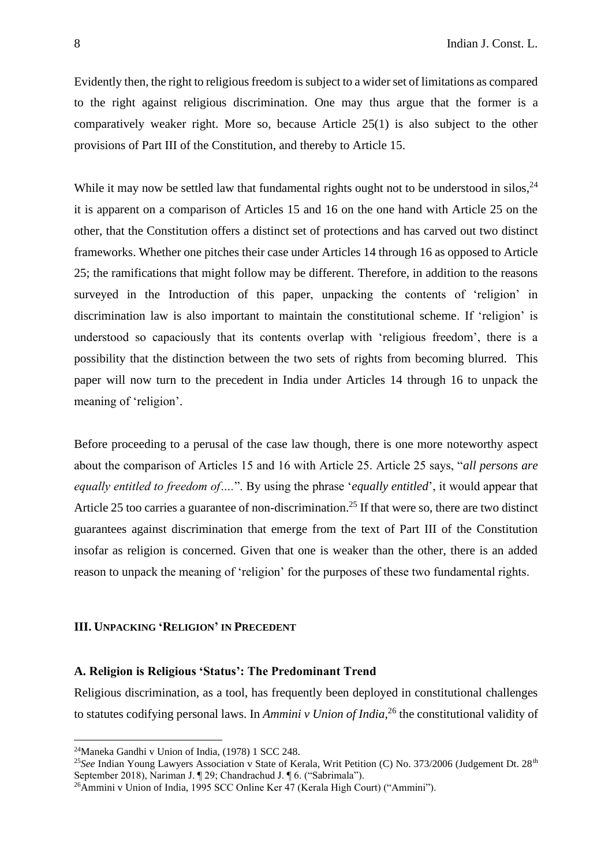Evidently then, the right to religious freedom is subject to a wider set of limitations as compared to the right against religious discrimination. One may thus argue that the former is a comparatively weaker right. More so, because Article 25(1) is also subject to the other provisions of Part III of the Constitution, and thereby to Article 15.

While it may now be settled law that fundamental rights ought not to be understood in silos,  $24$ it is apparent on a comparison of Articles 15 and 16 on the one hand with Article 25 on the other, that the Constitution offers a distinct set of protections and has carved out two distinct frameworks. Whether one pitches their case under Articles 14 through 16 as opposed to Article 25; the ramifications that might follow may be different. Therefore, in addition to the reasons surveyed in the Introduction of this paper, unpacking the contents of 'religion' in discrimination law is also important to maintain the constitutional scheme. If 'religion' is understood so capaciously that its contents overlap with 'religious freedom', there is a possibility that the distinction between the two sets of rights from becoming blurred. This paper will now turn to the precedent in India under Articles 14 through 16 to unpack the meaning of 'religion'.

Before proceeding to a perusal of the case law though, there is one more noteworthy aspect about the comparison of Articles 15 and 16 with Article 25. Article 25 says, "*all persons are equally entitled to freedom of….*". By using the phrase '*equally entitled*', it would appear that Article 25 too carries a guarantee of non-discrimination.<sup>25</sup> If that were so, there are two distinct guarantees against discrimination that emerge from the text of Part III of the Constitution insofar as religion is concerned. Given that one is weaker than the other, there is an added reason to unpack the meaning of 'religion' for the purposes of these two fundamental rights.

# **III. UNPACKING 'RELIGION' IN PRECEDENT**

# **A. Religion is Religious 'Status': The Predominant Trend**

Religious discrimination, as a tool, has frequently been deployed in constitutional challenges to statutes codifying personal laws. In *Ammini v Union of India*, <sup>26</sup> the constitutional validity of

<sup>24</sup>Maneka Gandhi v Union of India, (1978) 1 SCC 248.

<sup>&</sup>lt;sup>25</sup>See Indian Young Lawyers Association v State of Kerala, Writ Petition (C) No. 373/2006 (Judgement Dt. 28<sup>th</sup> September 2018), Nariman J. ¶ 29; Chandrachud J. ¶ 6. ("Sabrimala").

<sup>&</sup>lt;sup>26</sup>Ammini v Union of India, 1995 SCC Online Ker 47 (Kerala High Court) ("Ammini").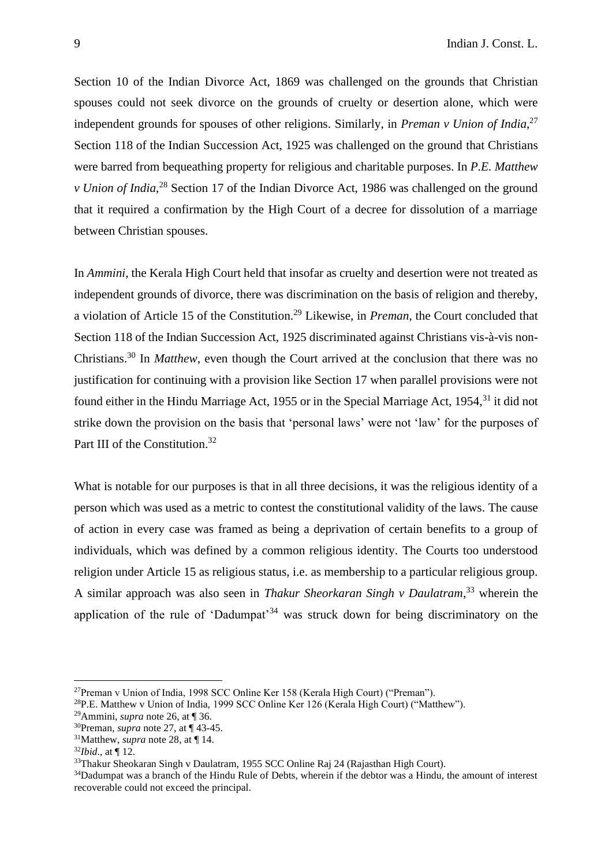Section 10 of the Indian Divorce Act, 1869 was challenged on the grounds that Christian spouses could not seek divorce on the grounds of cruelty or desertion alone, which were independent grounds for spouses of other religions. Similarly, in *Preman v Union of India*, 27 Section 118 of the Indian Succession Act, 1925 was challenged on the ground that Christians were barred from bequeathing property for religious and charitable purposes. In *P.E. Matthew v Union of India*,<sup>28</sup> Section 17 of the Indian Divorce Act, 1986 was challenged on the ground that it required a confirmation by the High Court of a decree for dissolution of a marriage between Christian spouses.

In *Ammini*, the Kerala High Court held that insofar as cruelty and desertion were not treated as independent grounds of divorce, there was discrimination on the basis of religion and thereby, a violation of Article 15 of the Constitution.<sup>29</sup> Likewise, in *Preman*, the Court concluded that Section 118 of the Indian Succession Act, 1925 discriminated against Christians vis-à-vis non-Christians.<sup>30</sup> In *Matthew*, even though the Court arrived at the conclusion that there was no justification for continuing with a provision like Section 17 when parallel provisions were not found either in the Hindu Marriage Act, 1955 or in the Special Marriage Act, 1954,<sup>31</sup> it did not strike down the provision on the basis that 'personal laws' were not 'law' for the purposes of Part III of the Constitution.<sup>32</sup>

What is notable for our purposes is that in all three decisions, it was the religious identity of a person which was used as a metric to contest the constitutional validity of the laws. The cause of action in every case was framed as being a deprivation of certain benefits to a group of individuals, which was defined by a common religious identity. The Courts too understood religion under Article 15 as religious status, i.e. as membership to a particular religious group. A similar approach was also seen in *Thakur Sheorkaran Singh v Daulatram*, <sup>33</sup> wherein the application of the rule of 'Dadumpat'<sup>34</sup> was struck down for being discriminatory on the

<sup>27</sup>Preman v Union of India, 1998 SCC Online Ker 158 (Kerala High Court) ("Preman").

<sup>28</sup>P.E. Matthew v Union of India, 1999 SCC Online Ker 126 (Kerala High Court) ("Matthew").

<sup>29</sup>Ammini, *supra* note 26, at ¶ 36.

<sup>30</sup>Preman, *supra* note 27, at ¶ 43-45.

<sup>31</sup>Matthew, *supra* note 28, at ¶ 14.

<sup>32</sup>*Ibid*., at ¶ 12.

<sup>33</sup>Thakur Sheokaran Singh v Daulatram, 1955 SCC Online Raj 24 (Rajasthan High Court).

<sup>&</sup>lt;sup>34</sup>Dadumpat was a branch of the Hindu Rule of Debts, wherein if the debtor was a Hindu, the amount of interest recoverable could not exceed the principal.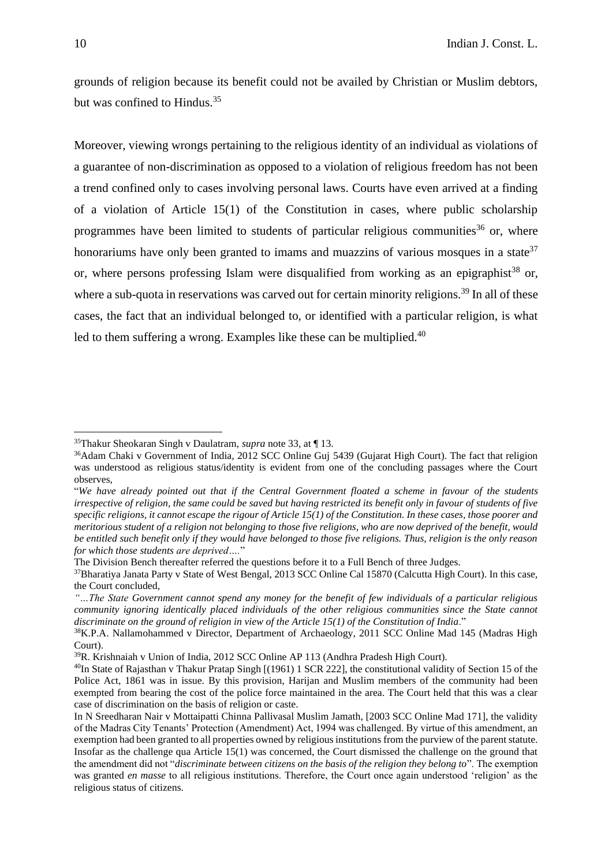grounds of religion because its benefit could not be availed by Christian or Muslim debtors, but was confined to Hindus. 35

Moreover, viewing wrongs pertaining to the religious identity of an individual as violations of a guarantee of non-discrimination as opposed to a violation of religious freedom has not been a trend confined only to cases involving personal laws. Courts have even arrived at a finding of a violation of Article 15(1) of the Constitution in cases, where public scholarship programmes have been limited to students of particular religious communities<sup>36</sup> or, where honorariums have only been granted to imams and muazzins of various mosques in a state<sup>37</sup> or, where persons professing Islam were disqualified from working as an epigraphist<sup>38</sup> or, where a sub-quota in reservations was carved out for certain minority religions.<sup>39</sup> In all of these cases, the fact that an individual belonged to, or identified with a particular religion, is what led to them suffering a wrong. Examples like these can be multiplied.<sup>40</sup>

<sup>35</sup>Thakur Sheokaran Singh v Daulatram, *supra* note 33, at ¶ 13.

<sup>&</sup>lt;sup>36</sup>Adam Chaki v Government of India, 2012 SCC Online Guj 5439 (Gujarat High Court). The fact that religion was understood as religious status/identity is evident from one of the concluding passages where the Court observes,

<sup>&</sup>quot;*We have already pointed out that if the Central Government floated a scheme in favour of the students irrespective of religion, the same could be saved but having restricted its benefit only in favour of students of five specific religions, it cannot escape the rigour of Article 15(1) of the Constitution. In these cases, those poorer and meritorious student of a religion not belonging to those five religions, who are now deprived of the benefit, would be entitled such benefit only if they would have belonged to those five religions. Thus, religion is the only reason for which those students are deprived….*"

The Division Bench thereafter referred the questions before it to a Full Bench of three Judges.

<sup>&</sup>lt;sup>37</sup>Bharatiya Janata Party v State of West Bengal, 2013 SCC Online Cal 15870 (Calcutta High Court). In this case, the Court concluded,

*<sup>&</sup>quot;…The State Government cannot spend any money for the benefit of few individuals of a particular religious community ignoring identically placed individuals of the other religious communities since the State cannot discriminate on the ground of religion in view of the Article 15(1) of the Constitution of India*."

<sup>&</sup>lt;sup>38</sup>K.P.A. Nallamohammed v Director, Department of Archaeology, 2011 SCC Online Mad 145 (Madras High Court).

<sup>39</sup>R. Krishnaiah v Union of India, 2012 SCC Online AP 113 (Andhra Pradesh High Court).

<sup>&</sup>lt;sup>40</sup>In State of Rajasthan v Thakur Pratap Singh [(1961) 1 SCR 222], the constitutional validity of Section 15 of the Police Act, 1861 was in issue. By this provision, Harijan and Muslim members of the community had been exempted from bearing the cost of the police force maintained in the area. The Court held that this was a clear case of discrimination on the basis of religion or caste.

In N Sreedharan Nair v Mottaipatti Chinna Pallivasal Muslim Jamath, [2003 SCC Online Mad 171], the validity of the Madras City Tenants' Protection (Amendment) Act, 1994 was challenged. By virtue of this amendment, an exemption had been granted to all properties owned by religious institutions from the purview of the parent statute. Insofar as the challenge qua Article 15(1) was concerned, the Court dismissed the challenge on the ground that the amendment did not "*discriminate between citizens on the basis of the religion they belong to*". The exemption was granted *en masse* to all religious institutions. Therefore, the Court once again understood 'religion' as the religious status of citizens.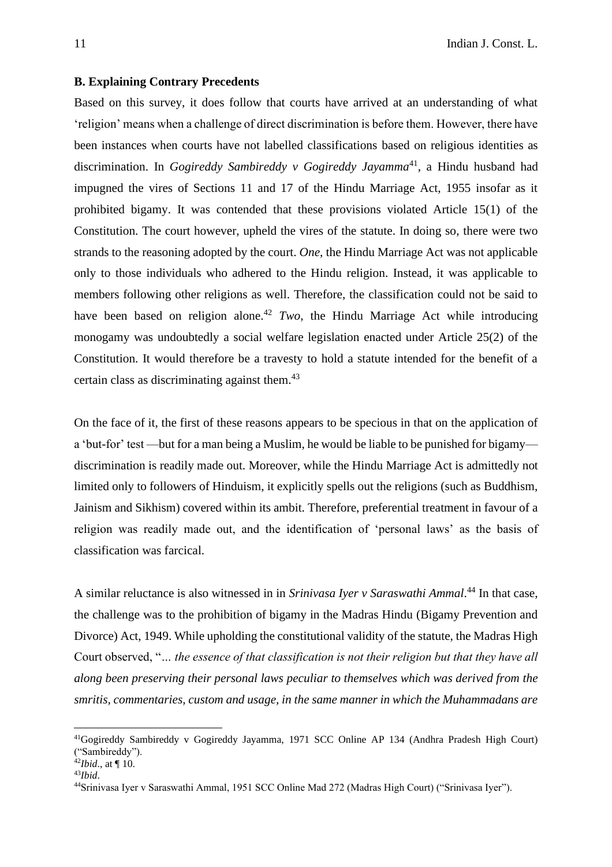### **B. Explaining Contrary Precedents**

Based on this survey, it does follow that courts have arrived at an understanding of what 'religion' means when a challenge of direct discrimination is before them. However, there have been instances when courts have not labelled classifications based on religious identities as discrimination. In *Gogireddy Sambireddy v Gogireddy Jayamma*<sup>41</sup>, a Hindu husband had impugned the vires of Sections 11 and 17 of the Hindu Marriage Act, 1955 insofar as it prohibited bigamy. It was contended that these provisions violated Article 15(1) of the Constitution. The court however, upheld the vires of the statute. In doing so, there were two strands to the reasoning adopted by the court. *One*, the Hindu Marriage Act was not applicable only to those individuals who adhered to the Hindu religion. Instead, it was applicable to members following other religions as well. Therefore, the classification could not be said to have been based on religion alone.<sup>42</sup> *Two*, the Hindu Marriage Act while introducing monogamy was undoubtedly a social welfare legislation enacted under Article 25(2) of the Constitution. It would therefore be a travesty to hold a statute intended for the benefit of a certain class as discriminating against them.<sup>43</sup>

On the face of it, the first of these reasons appears to be specious in that on the application of a 'but-for' test —but for a man being a Muslim, he would be liable to be punished for bigamy discrimination is readily made out. Moreover, while the Hindu Marriage Act is admittedly not limited only to followers of Hinduism, it explicitly spells out the religions (such as Buddhism, Jainism and Sikhism) covered within its ambit. Therefore, preferential treatment in favour of a religion was readily made out, and the identification of 'personal laws' as the basis of classification was farcical.

A similar reluctance is also witnessed in in *Srinivasa Iyer v Saraswathi Ammal*. <sup>44</sup> In that case, the challenge was to the prohibition of bigamy in the Madras Hindu (Bigamy Prevention and Divorce) Act, 1949. While upholding the constitutional validity of the statute, the Madras High Court observed, "*… the essence of that classification is not their religion but that they have all along been preserving their personal laws peculiar to themselves which was derived from the smritis, commentaries, custom and usage, in the same manner in which the Muhammadans are* 

<sup>41</sup>Gogireddy Sambireddy v Gogireddy Jayamma, 1971 SCC Online AP 134 (Andhra Pradesh High Court) ("Sambireddy").

<sup>42</sup>*Ibid*., at ¶ 10.

<sup>43</sup>*Ibid*.

<sup>44</sup>Srinivasa Iyer v Saraswathi Ammal, 1951 SCC Online Mad 272 (Madras High Court) ("Srinivasa Iyer").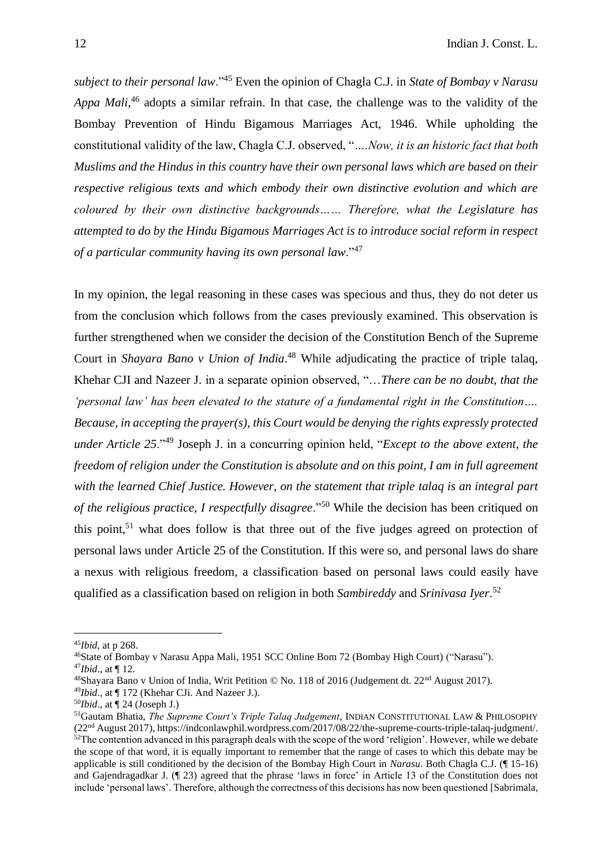*subject to their personal law*."<sup>45</sup> Even the opinion of Chagla C.J. in *State of Bombay v Narasu*  Appa Mali,<sup>46</sup> adopts a similar refrain. In that case, the challenge was to the validity of the Bombay Prevention of Hindu Bigamous Marriages Act, 1946. While upholding the constitutional validity of the law, Chagla C.J. observed, "*….Now, it is an historic fact that both Muslims and the Hindus in this country have their own personal laws which are based on their respective religious texts and which embody their own distinctive evolution and which are coloured by their own distinctive backgrounds…… Therefore, what the Legislature has attempted to do by the Hindu Bigamous Marriages Act is to introduce social reform in respect of a particular community having its own personal law*."<sup>47</sup>

In my opinion, the legal reasoning in these cases was specious and thus, they do not deter us from the conclusion which follows from the cases previously examined. This observation is further strengthened when we consider the decision of the Constitution Bench of the Supreme Court in *Shayara Bano v Union of India*. <sup>48</sup> While adjudicating the practice of triple talaq, Khehar CJI and Nazeer J. in a separate opinion observed, "…*There can be no doubt, that the 'personal law' has been elevated to the stature of a fundamental right in the Constitution…. Because, in accepting the prayer(s), this Court would be denying the rights expressly protected under Article 25*."<sup>49</sup> Joseph J. in a concurring opinion held, "*Except to the above extent, the freedom of religion under the Constitution is absolute and on this point, I am in full agreement with the learned Chief Justice. However, on the statement that triple talaq is an integral part of the religious practice, I respectfully disagree*."<sup>50</sup> While the decision has been critiqued on this point, $51$  what does follow is that three out of the five judges agreed on protection of personal laws under Article 25 of the Constitution. If this were so, and personal laws do share a nexus with religious freedom, a classification based on personal laws could easily have qualified as a classification based on religion in both *Sambireddy* and *Srinivasa Iyer*. 52

<sup>45</sup>*Ibid,* at p 268.

<sup>46</sup>State of Bombay v Narasu Appa Mali, 1951 SCC Online Bom 72 (Bombay High Court) ("Narasu"). <sup>47</sup>*Ibid*., at ¶ 12.

<sup>48</sup>Shayara Bano v Union of India, Writ Petition © No. 118 of 2016 (Judgement dt. 22nd August 2017).

<sup>49</sup>*Ibid*., at ¶ 172 (Khehar CJi. And Nazeer J.).

<sup>50</sup>*Ibid*., at ¶ 24 (Joseph J.)

<sup>51</sup>Gautam Bhatia, *The Supreme Court's Triple Talaq Judgement*, INDIAN CONSTITUTIONAL LAW & PHILOSOPHY (22nd August 2017), https://indconlawphil.wordpress.com/2017/08/22/the-supreme-courts-triple-talaq-judgment/.  $52$ The contention advanced in this paragraph deals with the scope of the word 'religion'. However, while we debate the scope of that word, it is equally important to remember that the range of cases to which this debate may be applicable is still conditioned by the decision of the Bombay High Court in *Narasu*. Both Chagla C.J. (¶ 15-16) and Gajendragadkar J. (¶ 23) agreed that the phrase 'laws in force' in Article 13 of the Constitution does not include 'personal laws'. Therefore, although the correctness of this decisions has now been questioned [Sabrimala,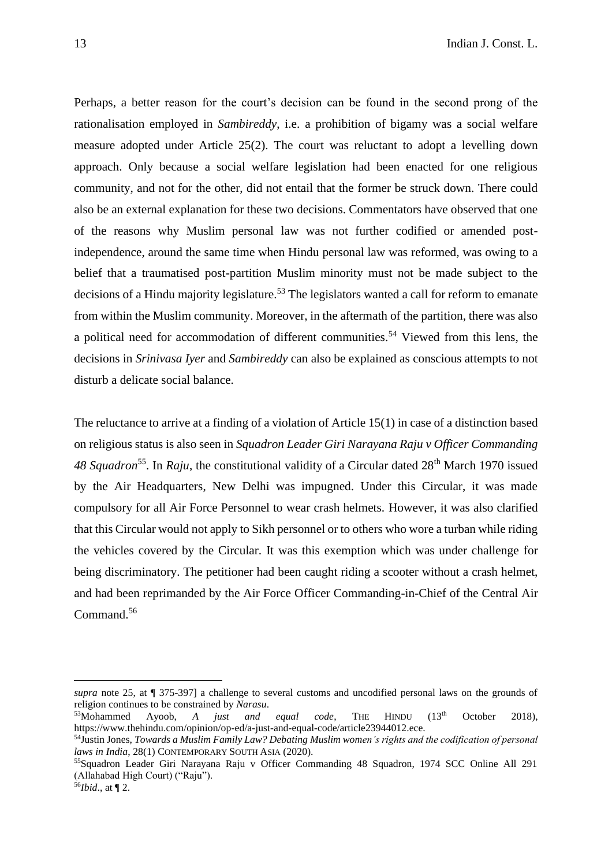Perhaps, a better reason for the court's decision can be found in the second prong of the rationalisation employed in *Sambireddy*, i.e. a prohibition of bigamy was a social welfare measure adopted under Article 25(2). The court was reluctant to adopt a levelling down approach. Only because a social welfare legislation had been enacted for one religious community, and not for the other, did not entail that the former be struck down. There could also be an external explanation for these two decisions. Commentators have observed that one of the reasons why Muslim personal law was not further codified or amended postindependence, around the same time when Hindu personal law was reformed, was owing to a belief that a traumatised post-partition Muslim minority must not be made subject to the decisions of a Hindu majority legislature.<sup>53</sup> The legislators wanted a call for reform to emanate from within the Muslim community. Moreover, in the aftermath of the partition, there was also a political need for accommodation of different communities.<sup>54</sup> Viewed from this lens, the decisions in *Srinivasa Iyer* and *Sambireddy* can also be explained as conscious attempts to not disturb a delicate social balance.

The reluctance to arrive at a finding of a violation of Article 15(1) in case of a distinction based on religious status is also seen in *Squadron Leader Giri Narayana Raju v Officer Commanding*  48 Squadron<sup>55</sup>. In *Raju*, the constitutional validity of a Circular dated 28<sup>th</sup> March 1970 issued by the Air Headquarters, New Delhi was impugned. Under this Circular, it was made compulsory for all Air Force Personnel to wear crash helmets. However, it was also clarified that this Circular would not apply to Sikh personnel or to others who wore a turban while riding the vehicles covered by the Circular. It was this exemption which was under challenge for being discriminatory. The petitioner had been caught riding a scooter without a crash helmet, and had been reprimanded by the Air Force Officer Commanding-in-Chief of the Central Air Command.<sup>56</sup>

*supra* note 25, at ¶ 375-397] a challenge to several customs and uncodified personal laws on the grounds of religion continues to be constrained by *Narasu*.

<sup>&</sup>lt;sup>53</sup>Mohammed Ayoob, *A just and equal code*, THE HINDU (13<sup>th</sup> October 2018), https://www.thehindu.com/opinion/op-ed/a-just-and-equal-code/article23944012.ece.

<sup>54</sup>Justin Jones, *Towards a Muslim Family Law? Debating Muslim women's rights and the codification of personal laws in India*, 28(1) CONTEMPORARY SOUTH ASIA (2020).

<sup>55</sup>Squadron Leader Giri Narayana Raju v Officer Commanding 48 Squadron, 1974 SCC Online All 291 (Allahabad High Court) ("Raju").

<sup>56</sup>*Ibid*., at ¶ 2.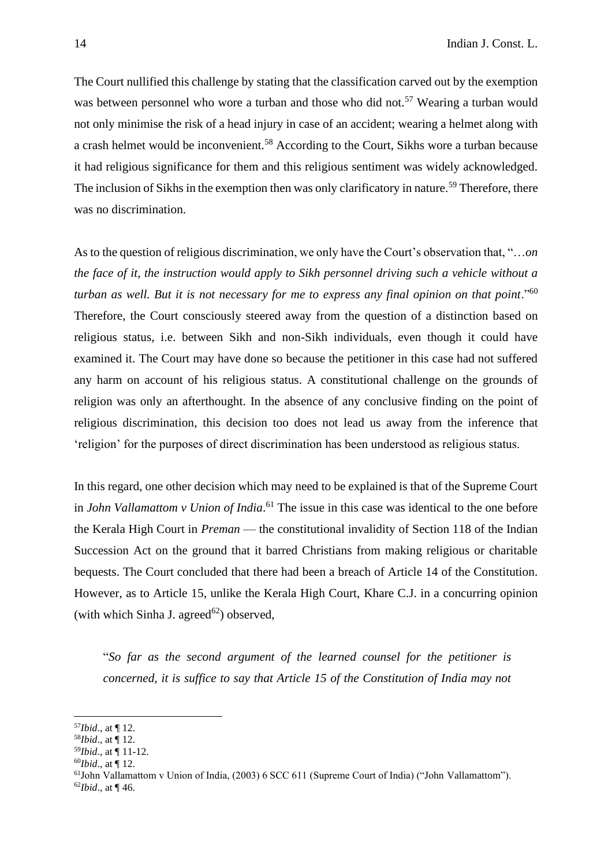The Court nullified this challenge by stating that the classification carved out by the exemption was between personnel who wore a turban and those who did not.<sup>57</sup> Wearing a turban would not only minimise the risk of a head injury in case of an accident; wearing a helmet along with a crash helmet would be inconvenient.<sup>58</sup> According to the Court, Sikhs wore a turban because it had religious significance for them and this religious sentiment was widely acknowledged. The inclusion of Sikhs in the exemption then was only clarificatory in nature.<sup>59</sup> Therefore, there was no discrimination.

As to the question of religious discrimination, we only have the Court's observation that, "…*on the face of it, the instruction would apply to Sikh personnel driving such a vehicle without a turban as well. But it is not necessary for me to express any final opinion on that point.*"<sup>60</sup> Therefore, the Court consciously steered away from the question of a distinction based on religious status, i.e. between Sikh and non-Sikh individuals, even though it could have examined it. The Court may have done so because the petitioner in this case had not suffered any harm on account of his religious status. A constitutional challenge on the grounds of religion was only an afterthought. In the absence of any conclusive finding on the point of religious discrimination, this decision too does not lead us away from the inference that 'religion' for the purposes of direct discrimination has been understood as religious status.

In this regard, one other decision which may need to be explained is that of the Supreme Court in *John Vallamattom v Union of India*. <sup>61</sup> The issue in this case was identical to the one before the Kerala High Court in *Preman* — the constitutional invalidity of Section 118 of the Indian Succession Act on the ground that it barred Christians from making religious or charitable bequests. The Court concluded that there had been a breach of Article 14 of the Constitution. However, as to Article 15, unlike the Kerala High Court, Khare C.J. in a concurring opinion (with which Sinha J. agreed $^{62}$ ) observed,

"*So far as the second argument of the learned counsel for the petitioner is concerned, it is suffice to say that Article 15 of the Constitution of India may not* 

<sup>60</sup>*Ibid*., at ¶ 12.

<sup>57</sup>*Ibid*., at ¶ 12.

 $58$ *Ibid.*, at  $\P$  12.

<sup>59</sup>*Ibid*., at ¶ 11-12.

 $61$ John Vallamattom v Union of India, (2003) 6 SCC 611 (Supreme Court of India) ("John Vallamattom"). 62*Ibid*., at ¶ 46.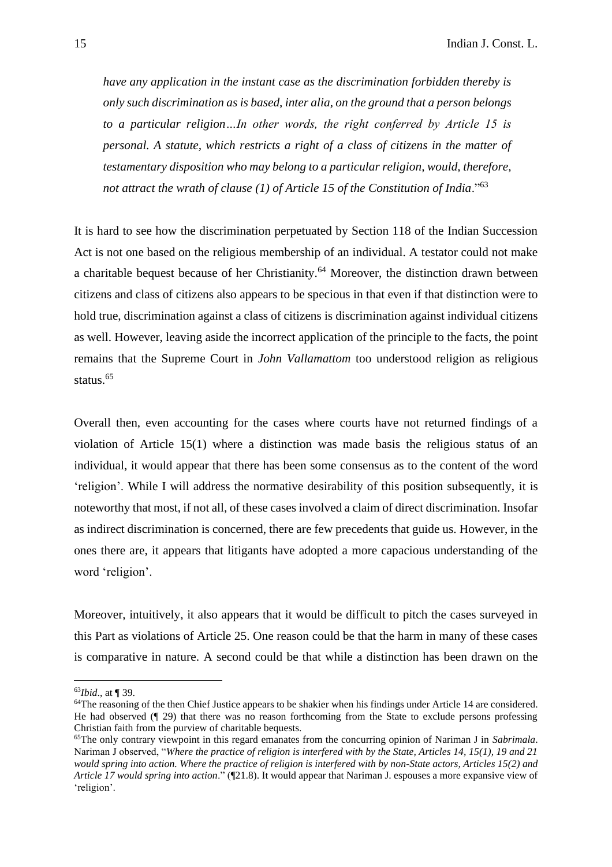*have any application in the instant case as the discrimination forbidden thereby is only such discrimination as is based, inter alia, on the ground that a person belongs to a particular religion…In other words, the right conferred by Article 15 is personal. A statute, which restricts a right of a class of citizens in the matter of testamentary disposition who may belong to a particular religion, would, therefore, not attract the wrath of clause (1) of Article 15 of the Constitution of India*."<sup>63</sup>

It is hard to see how the discrimination perpetuated by Section 118 of the Indian Succession Act is not one based on the religious membership of an individual. A testator could not make a charitable bequest because of her Christianity.<sup>64</sup> Moreover, the distinction drawn between citizens and class of citizens also appears to be specious in that even if that distinction were to hold true, discrimination against a class of citizens is discrimination against individual citizens as well. However, leaving aside the incorrect application of the principle to the facts, the point remains that the Supreme Court in *John Vallamattom* too understood religion as religious status.<sup>65</sup>

Overall then, even accounting for the cases where courts have not returned findings of a violation of Article 15(1) where a distinction was made basis the religious status of an individual, it would appear that there has been some consensus as to the content of the word 'religion'. While I will address the normative desirability of this position subsequently, it is noteworthy that most, if not all, of these cases involved a claim of direct discrimination. Insofar as indirect discrimination is concerned, there are few precedents that guide us. However, in the ones there are, it appears that litigants have adopted a more capacious understanding of the word 'religion'.

Moreover, intuitively, it also appears that it would be difficult to pitch the cases surveyed in this Part as violations of Article 25. One reason could be that the harm in many of these cases is comparative in nature. A second could be that while a distinction has been drawn on the

<sup>63</sup>*Ibid*., at ¶ 39.

<sup>&</sup>lt;sup>64</sup>The reasoning of the then Chief Justice appears to be shakier when his findings under Article 14 are considered. He had observed (¶ 29) that there was no reason forthcoming from the State to exclude persons professing Christian faith from the purview of charitable bequests.

<sup>65</sup>The only contrary viewpoint in this regard emanates from the concurring opinion of Nariman J in *Sabrimala*. Nariman J observed, "*Where the practice of religion is interfered with by the State, Articles 14, 15(1), 19 and 21 would spring into action. Where the practice of religion is interfered with by non-State actors, Articles 15(2) and Article 17 would spring into action*." (¶21.8). It would appear that Nariman J. espouses a more expansive view of 'religion'.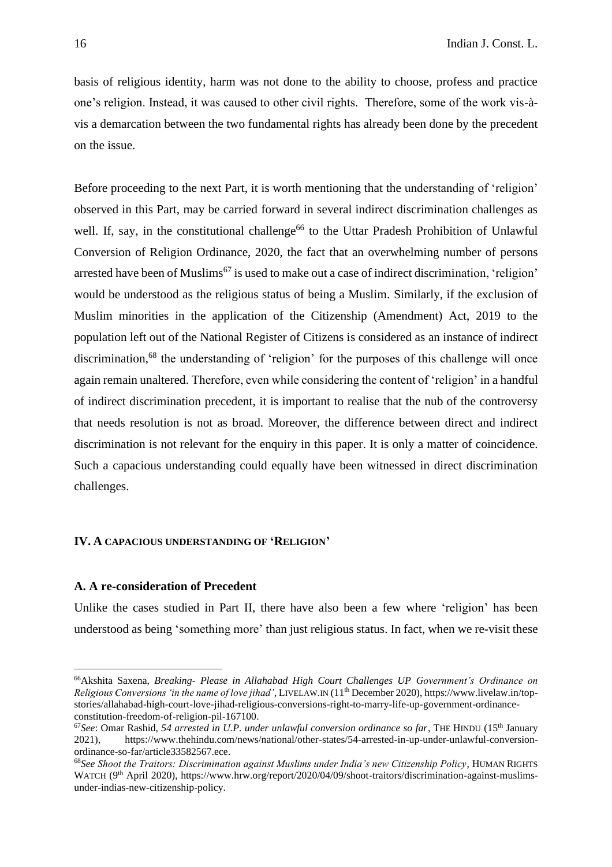basis of religious identity, harm was not done to the ability to choose, profess and practice one's religion. Instead, it was caused to other civil rights. Therefore, some of the work vis-àvis a demarcation between the two fundamental rights has already been done by the precedent on the issue.

Before proceeding to the next Part, it is worth mentioning that the understanding of 'religion' observed in this Part, may be carried forward in several indirect discrimination challenges as well. If, say, in the constitutional challenge<sup>66</sup> to the Uttar Pradesh Prohibition of Unlawful Conversion of Religion Ordinance, 2020, the fact that an overwhelming number of persons arrested have been of Muslims<sup>67</sup> is used to make out a case of indirect discrimination, 'religion' would be understood as the religious status of being a Muslim. Similarly, if the exclusion of Muslim minorities in the application of the Citizenship (Amendment) Act, 2019 to the population left out of the National Register of Citizens is considered as an instance of indirect discrimination,<sup>68</sup> the understanding of 'religion' for the purposes of this challenge will once again remain unaltered. Therefore, even while considering the content of 'religion' in a handful of indirect discrimination precedent, it is important to realise that the nub of the controversy that needs resolution is not as broad. Moreover, the difference between direct and indirect discrimination is not relevant for the enquiry in this paper. It is only a matter of coincidence. Such a capacious understanding could equally have been witnessed in direct discrimination challenges.

## **IV. A CAPACIOUS UNDERSTANDING OF 'RELIGION'**

## **A. A re-consideration of Precedent**

Unlike the cases studied in Part II, there have also been a few where 'religion' has been understood as being 'something more' than just religious status. In fact, when we re-visit these

<sup>66</sup>Akshita Saxena, *Breaking- Please in Allahabad High Court Challenges UP Government's Ordinance on Religious Conversions 'in the name of love jihad'*, LIVELAW.IN (11th December 2020), https://www.livelaw.in/topstories/allahabad-high-court-love-jihad-religious-conversions-right-to-marry-life-up-government-ordinanceconstitution-freedom-of-religion-pil-167100.

<sup>67</sup>*See*: Omar Rashid, *54 arrested in U.P. under unlawful conversion ordinance so far*, THE HINDU (15th January 2021), https://www.thehindu.com/news/national/other-states/54-arrested-in-up-under-unlawful-conversionordinance-so-far/article33582567.ece.

<sup>68</sup>*See Shoot the Traitors: Discrimination against Muslims under India's new Citizenship Policy*, HUMAN RIGHTS WATCH (9<sup>th</sup> April 2020), https://www.hrw.org/report/2020/04/09/shoot-traitors/discrimination-against-muslimsunder-indias-new-citizenship-policy.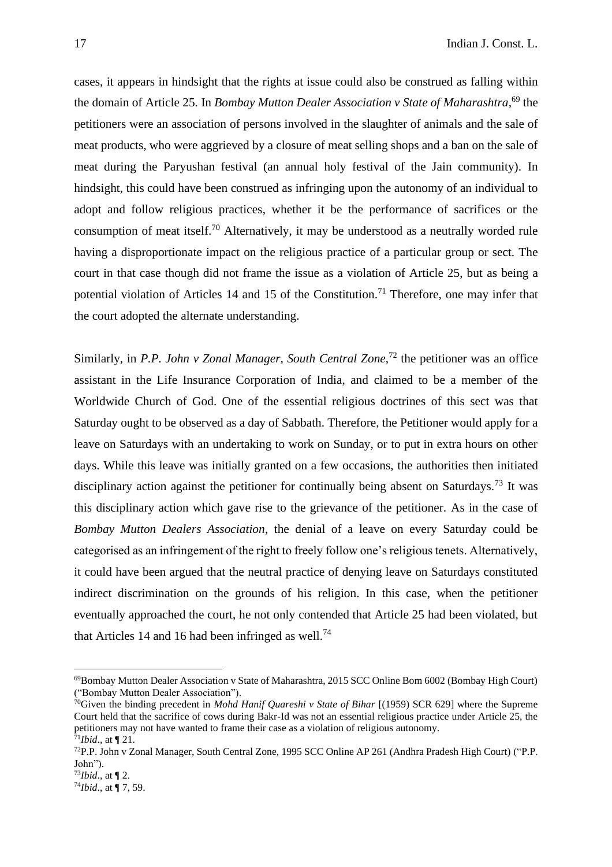cases, it appears in hindsight that the rights at issue could also be construed as falling within the domain of Article 25. In *Bombay Mutton Dealer Association v State of Maharashtra*, <sup>69</sup> the petitioners were an association of persons involved in the slaughter of animals and the sale of meat products, who were aggrieved by a closure of meat selling shops and a ban on the sale of meat during the Paryushan festival (an annual holy festival of the Jain community). In hindsight, this could have been construed as infringing upon the autonomy of an individual to adopt and follow religious practices, whether it be the performance of sacrifices or the consumption of meat itself.<sup>70</sup> Alternatively, it may be understood as a neutrally worded rule having a disproportionate impact on the religious practice of a particular group or sect. The court in that case though did not frame the issue as a violation of Article 25, but as being a potential violation of Articles 14 and 15 of the Constitution.<sup>71</sup> Therefore, one may infer that the court adopted the alternate understanding.

Similarly, in *P.P. John v Zonal Manager, South Central Zone*<sup>72</sup> the petitioner was an office assistant in the Life Insurance Corporation of India, and claimed to be a member of the Worldwide Church of God. One of the essential religious doctrines of this sect was that Saturday ought to be observed as a day of Sabbath. Therefore, the Petitioner would apply for a leave on Saturdays with an undertaking to work on Sunday, or to put in extra hours on other days. While this leave was initially granted on a few occasions, the authorities then initiated disciplinary action against the petitioner for continually being absent on Saturdays.<sup>73</sup> It was this disciplinary action which gave rise to the grievance of the petitioner. As in the case of *Bombay Mutton Dealers Association*, the denial of a leave on every Saturday could be categorised as an infringement of the right to freely follow one's religious tenets. Alternatively, it could have been argued that the neutral practice of denying leave on Saturdays constituted indirect discrimination on the grounds of his religion. In this case, when the petitioner eventually approached the court, he not only contended that Article 25 had been violated, but that Articles 14 and 16 had been infringed as well.<sup>74</sup>

<sup>69</sup>Bombay Mutton Dealer Association v State of Maharashtra, 2015 SCC Online Bom 6002 (Bombay High Court) ("Bombay Mutton Dealer Association").

<sup>70</sup>Given the binding precedent in *Mohd Hanif Quareshi v State of Bihar* [(1959) SCR 629] where the Supreme Court held that the sacrifice of cows during Bakr-Id was not an essential religious practice under Article 25, the petitioners may not have wanted to frame their case as a violation of religious autonomy.  $71$ *Ibid.*, at  $\P$  21.

<sup>72</sup>P.P. John v Zonal Manager, South Central Zone, 1995 SCC Online AP 261 (Andhra Pradesh High Court) ("P.P. John").

<sup>73</sup>*Ibid*., at ¶ 2.

<sup>74</sup>*Ibid*., at ¶ 7, 59.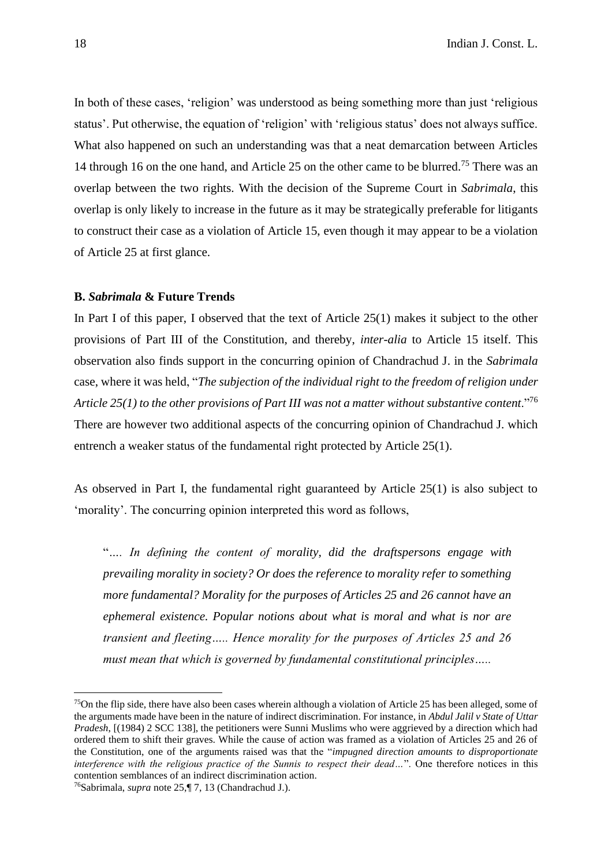In both of these cases, 'religion' was understood as being something more than just 'religious status'. Put otherwise, the equation of 'religion' with 'religious status' does not always suffice. What also happened on such an understanding was that a neat demarcation between Articles 14 through 16 on the one hand, and Article 25 on the other came to be blurred.<sup>75</sup> There was an overlap between the two rights. With the decision of the Supreme Court in *Sabrimala*, this overlap is only likely to increase in the future as it may be strategically preferable for litigants to construct their case as a violation of Article 15, even though it may appear to be a violation of Article 25 at first glance.

#### **B.** *Sabrimala* **& Future Trends**

In Part I of this paper, I observed that the text of Article 25(1) makes it subject to the other provisions of Part III of the Constitution, and thereby, *inter-alia* to Article 15 itself. This observation also finds support in the concurring opinion of Chandrachud J. in the *Sabrimala* case, where it was held, "*The subjection of the individual right to the freedom of religion under*  Article 25(1) to the other provisions of Part III was not a matter without substantive content."<sup>76</sup> There are however two additional aspects of the concurring opinion of Chandrachud J. which entrench a weaker status of the fundamental right protected by Article 25(1).

As observed in Part I, the fundamental right guaranteed by Article 25(1) is also subject to 'morality'. The concurring opinion interpreted this word as follows,

"*…. In defining the content of morality, did the draftspersons engage with prevailing morality in society? Or does the reference to morality refer to something more fundamental? Morality for the purposes of Articles 25 and 26 cannot have an ephemeral existence. Popular notions about what is moral and what is nor are transient and fleeting….. Hence morality for the purposes of Articles 25 and 26 must mean that which is governed by fundamental constitutional principles…..*

 $<sup>75</sup>$ On the flip side, there have also been cases wherein although a violation of Article 25 has been alleged, some of</sup> the arguments made have been in the nature of indirect discrimination. For instance, in *Abdul Jalil v State of Uttar Pradesh*, [(1984) 2 SCC 138], the petitioners were Sunni Muslims who were aggrieved by a direction which had ordered them to shift their graves. While the cause of action was framed as a violation of Articles 25 and 26 of the Constitution, one of the arguments raised was that the "*impugned direction amounts to disproportionate interference with the religious practice of the Sunnis to respect their dead…*". One therefore notices in this contention semblances of an indirect discrimination action.

<sup>76</sup>Sabrimala, *supra* note 25,¶ 7, 13 (Chandrachud J.).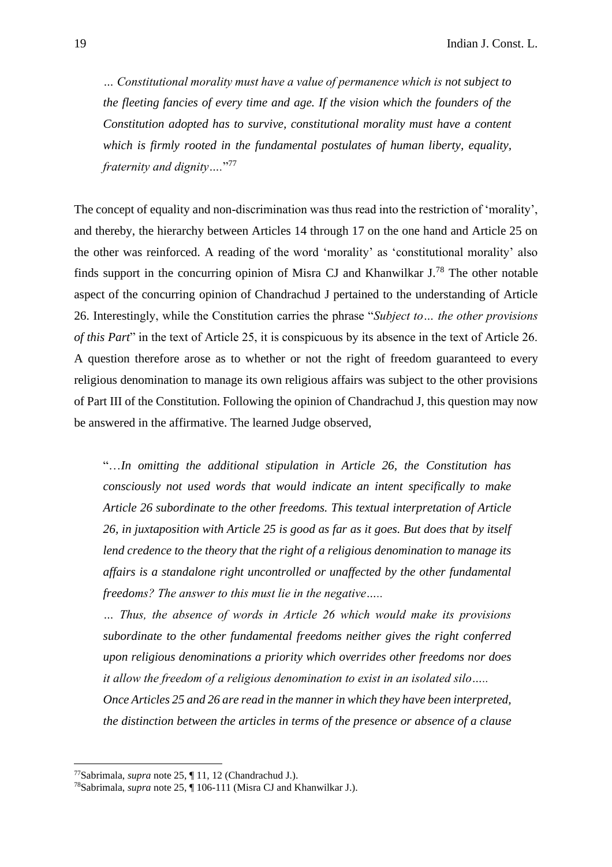*… Constitutional morality must have a value of permanence which is not subject to the fleeting fancies of every time and age. If the vision which the founders of the Constitution adopted has to survive, constitutional morality must have a content which is firmly rooted in the fundamental postulates of human liberty, equality, fraternity and dignity….*" 77

The concept of equality and non-discrimination was thus read into the restriction of 'morality', and thereby, the hierarchy between Articles 14 through 17 on the one hand and Article 25 on the other was reinforced. A reading of the word 'morality' as 'constitutional morality' also finds support in the concurring opinion of Misra CJ and Khanwilkar  $J^{78}$ . The other notable aspect of the concurring opinion of Chandrachud J pertained to the understanding of Article 26. Interestingly, while the Constitution carries the phrase "*Subject to… the other provisions of this Part*" in the text of Article 25, it is conspicuous by its absence in the text of Article 26. A question therefore arose as to whether or not the right of freedom guaranteed to every religious denomination to manage its own religious affairs was subject to the other provisions of Part III of the Constitution. Following the opinion of Chandrachud J, this question may now be answered in the affirmative. The learned Judge observed,

"…*In omitting the additional stipulation in Article 26, the Constitution has consciously not used words that would indicate an intent specifically to make Article 26 subordinate to the other freedoms. This textual interpretation of Article 26, in juxtaposition with Article 25 is good as far as it goes. But does that by itself lend credence to the theory that the right of a religious denomination to manage its affairs is a standalone right uncontrolled or unaffected by the other fundamental freedoms? The answer to this must lie in the negative…..*

*… Thus, the absence of words in Article 26 which would make its provisions subordinate to the other fundamental freedoms neither gives the right conferred upon religious denominations a priority which overrides other freedoms nor does it allow the freedom of a religious denomination to exist in an isolated silo…..*

*Once Articles 25 and 26 are read in the manner in which they have been interpreted, the distinction between the articles in terms of the presence or absence of a clause* 

<sup>77</sup>Sabrimala, *supra* note 25, ¶ 11, 12 (Chandrachud J.).

<sup>78</sup>Sabrimala, *supra* note 25, ¶ 106-111 (Misra CJ and Khanwilkar J.).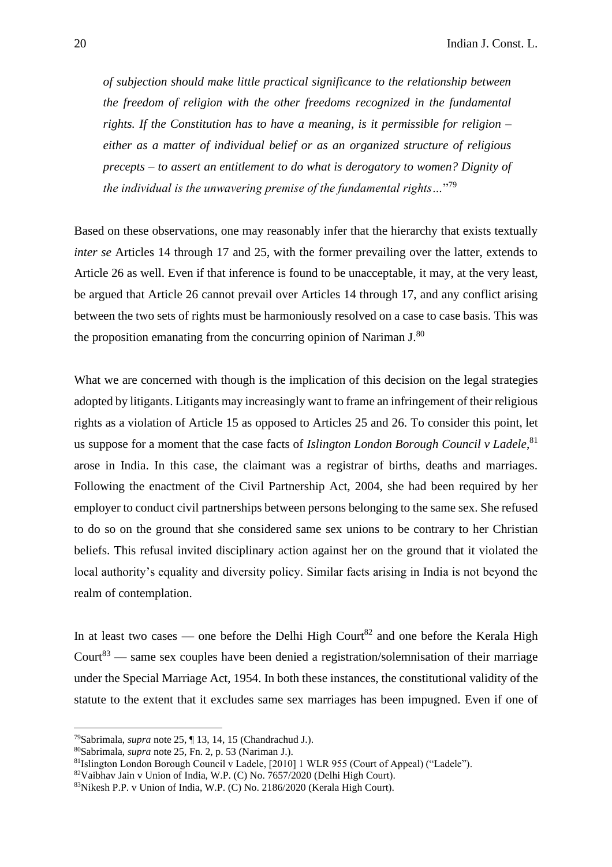*of subjection should make little practical significance to the relationship between the freedom of religion with the other freedoms recognized in the fundamental rights. If the Constitution has to have a meaning, is it permissible for religion – either as a matter of individual belief or as an organized structure of religious precepts – to assert an entitlement to do what is derogatory to women? Dignity of the individual is the unwavering premise of the fundamental rights…*" 79

Based on these observations, one may reasonably infer that the hierarchy that exists textually *inter se* Articles 14 through 17 and 25, with the former prevailing over the latter, extends to Article 26 as well. Even if that inference is found to be unacceptable, it may, at the very least, be argued that Article 26 cannot prevail over Articles 14 through 17, and any conflict arising between the two sets of rights must be harmoniously resolved on a case to case basis. This was the proposition emanating from the concurring opinion of Nariman J.<sup>80</sup>

What we are concerned with though is the implication of this decision on the legal strategies adopted by litigants. Litigants may increasingly want to frame an infringement of their religious rights as a violation of Article 15 as opposed to Articles 25 and 26. To consider this point, let us suppose for a moment that the case facts of *Islington London Borough Council v Ladele*,<sup>81</sup> arose in India. In this case, the claimant was a registrar of births, deaths and marriages. Following the enactment of the Civil Partnership Act, 2004, she had been required by her employer to conduct civil partnerships between persons belonging to the same sex. She refused to do so on the ground that she considered same sex unions to be contrary to her Christian beliefs. This refusal invited disciplinary action against her on the ground that it violated the local authority's equality and diversity policy. Similar facts arising in India is not beyond the realm of contemplation.

In at least two cases — one before the Delhi High Court<sup>82</sup> and one before the Kerala High Court<sup>83</sup> — same sex couples have been denied a registration/solemnisation of their marriage under the Special Marriage Act, 1954. In both these instances, the constitutional validity of the statute to the extent that it excludes same sex marriages has been impugned. Even if one of

<sup>79</sup>Sabrimala, *supra* note 25, ¶ 13, 14, 15 (Chandrachud J.).

<sup>80</sup>Sabrimala, *supra* note 25, Fn. 2, p. 53 (Nariman J.).

<sup>81</sup>Islington London Borough Council v Ladele, [2010] 1 WLR 955 (Court of Appeal) ("Ladele").

<sup>82</sup>Vaibhav Jain v Union of India, W.P. (C) No. 7657/2020 (Delhi High Court).

<sup>83</sup>Nikesh P.P. v Union of India, W.P. (C) No. 2186/2020 (Kerala High Court).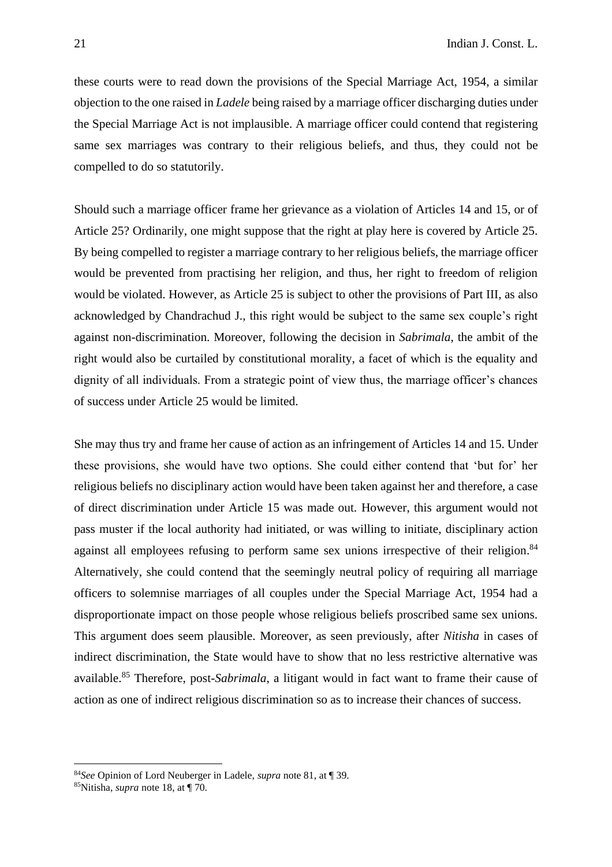these courts were to read down the provisions of the Special Marriage Act, 1954, a similar objection to the one raised in *Ladele* being raised by a marriage officer discharging duties under the Special Marriage Act is not implausible. A marriage officer could contend that registering same sex marriages was contrary to their religious beliefs, and thus, they could not be compelled to do so statutorily.

Should such a marriage officer frame her grievance as a violation of Articles 14 and 15, or of Article 25? Ordinarily, one might suppose that the right at play here is covered by Article 25. By being compelled to register a marriage contrary to her religious beliefs, the marriage officer would be prevented from practising her religion, and thus, her right to freedom of religion would be violated. However, as Article 25 is subject to other the provisions of Part III, as also acknowledged by Chandrachud J., this right would be subject to the same sex couple's right against non-discrimination. Moreover, following the decision in *Sabrimala*, the ambit of the right would also be curtailed by constitutional morality, a facet of which is the equality and dignity of all individuals. From a strategic point of view thus, the marriage officer's chances of success under Article 25 would be limited.

She may thus try and frame her cause of action as an infringement of Articles 14 and 15. Under these provisions, she would have two options. She could either contend that 'but for' her religious beliefs no disciplinary action would have been taken against her and therefore, a case of direct discrimination under Article 15 was made out. However, this argument would not pass muster if the local authority had initiated, or was willing to initiate, disciplinary action against all employees refusing to perform same sex unions irrespective of their religion.<sup>84</sup> Alternatively, she could contend that the seemingly neutral policy of requiring all marriage officers to solemnise marriages of all couples under the Special Marriage Act, 1954 had a disproportionate impact on those people whose religious beliefs proscribed same sex unions. This argument does seem plausible. Moreover, as seen previously, after *Nitisha* in cases of indirect discrimination, the State would have to show that no less restrictive alternative was available.<sup>85</sup> Therefore, post-*Sabrimala*, a litigant would in fact want to frame their cause of action as one of indirect religious discrimination so as to increase their chances of success.

<sup>84</sup>*See* Opinion of Lord Neuberger in Ladele, *supra* note 81, at ¶ 39.

<sup>85</sup>Nitisha, *supra* note 18, at ¶ 70.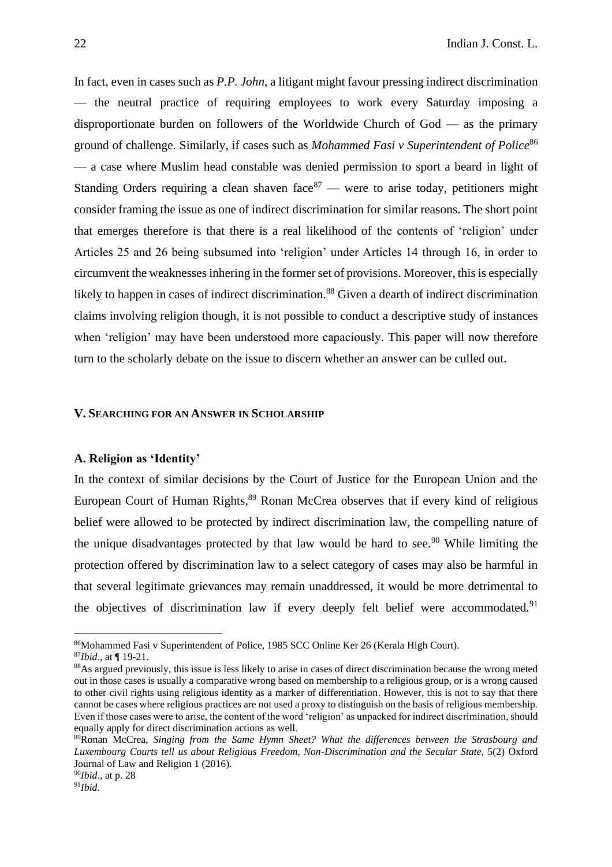In fact, even in cases such as *P.P. John*, a litigant might favour pressing indirect discrimination — the neutral practice of requiring employees to work every Saturday imposing a disproportionate burden on followers of the Worldwide Church of God — as the primary ground of challenge. Similarly, if cases such as *Mohammed Fasi v Superintendent of Police*<sup>86</sup> — a case where Muslim head constable was denied permission to sport a beard in light of Standing Orders requiring a clean shaven face  $87$  — were to arise today, petitioners might consider framing the issue as one of indirect discrimination for similar reasons. The short point that emerges therefore is that there is a real likelihood of the contents of 'religion' under Articles 25 and 26 being subsumed into 'religion' under Articles 14 through 16, in order to circumvent the weaknesses inhering in the former set of provisions. Moreover, this is especially likely to happen in cases of indirect discrimination.<sup>88</sup> Given a dearth of indirect discrimination claims involving religion though, it is not possible to conduct a descriptive study of instances when 'religion' may have been understood more capaciously. This paper will now therefore turn to the scholarly debate on the issue to discern whether an answer can be culled out.

## **V. SEARCHING FOR AN ANSWER IN SCHOLARSHIP**

## **A. Religion as 'Identity'**

In the context of similar decisions by the Court of Justice for the European Union and the European Court of Human Rights,<sup>89</sup> Ronan McCrea observes that if every kind of religious belief were allowed to be protected by indirect discrimination law, the compelling nature of the unique disadvantages protected by that law would be hard to see.<sup>90</sup> While limiting the protection offered by discrimination law to a select category of cases may also be harmful in that several legitimate grievances may remain unaddressed, it would be more detrimental to the objectives of discrimination law if every deeply felt belief were accommodated.<sup>91</sup>

<sup>86</sup>Mohammed Fasi v Superintendent of Police, 1985 SCC Online Ker 26 (Kerala High Court).

<sup>87</sup>*Ibid*., at ¶ 19-21.

<sup>88</sup>As argued previously, this issue is less likely to arise in cases of direct discrimination because the wrong meted out in those cases is usually a comparative wrong based on membership to a religious group, or is a wrong caused to other civil rights using religious identity as a marker of differentiation. However, this is not to say that there cannot be cases where religious practices are not used a proxy to distinguish on the basis of religious membership. Even if those cases were to arise, the content of the word 'religion' as unpacked for indirect discrimination, should equally apply for direct discrimination actions as well.

<sup>89</sup>Ronan McCrea, *Singing from the Same Hymn Sheet? What the differences between the Strasbourg and Luxembourg Courts tell us about Religious Freedom, Non-Discrimination and the Secular State*, 5(2) Oxford Journal of Law and Religion 1 (2016).

<sup>90</sup>*Ibid*., at p. 28

 $91$ *Ibid.*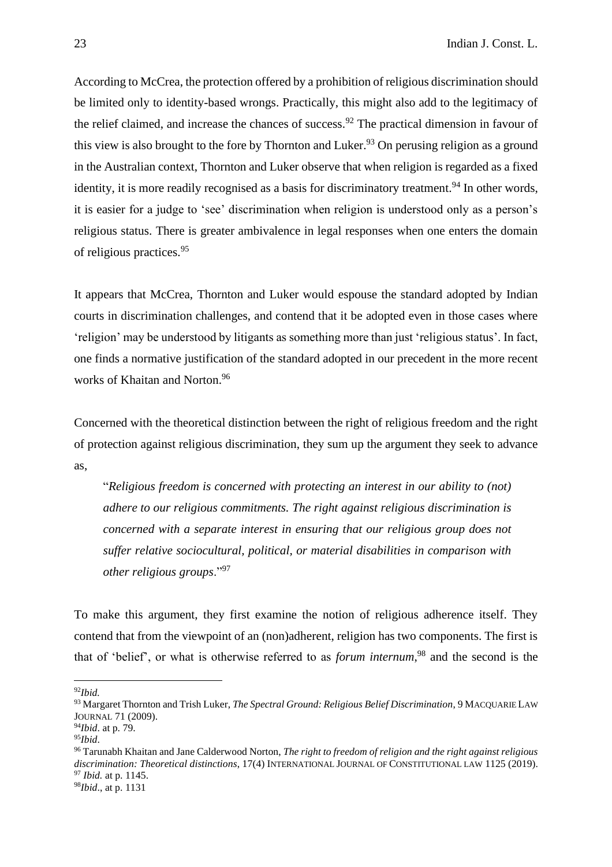According to McCrea, the protection offered by a prohibition of religious discrimination should be limited only to identity-based wrongs. Practically, this might also add to the legitimacy of the relief claimed, and increase the chances of success.<sup>92</sup> The practical dimension in favour of this view is also brought to the fore by Thornton and Luker.<sup>93</sup> On perusing religion as a ground in the Australian context, Thornton and Luker observe that when religion is regarded as a fixed identity, it is more readily recognised as a basis for discriminatory treatment.<sup>94</sup> In other words, it is easier for a judge to 'see' discrimination when religion is understood only as a person's religious status. There is greater ambivalence in legal responses when one enters the domain of religious practices.<sup>95</sup>

It appears that McCrea, Thornton and Luker would espouse the standard adopted by Indian courts in discrimination challenges, and contend that it be adopted even in those cases where 'religion' may be understood by litigants as something more than just 'religious status'. In fact, one finds a normative justification of the standard adopted in our precedent in the more recent works of Khaitan and Norton.<sup>96</sup>

Concerned with the theoretical distinction between the right of religious freedom and the right of protection against religious discrimination, they sum up the argument they seek to advance as,

"*Religious freedom is concerned with protecting an interest in our ability to (not) adhere to our religious commitments. The right against religious discrimination is concerned with a separate interest in ensuring that our religious group does not suffer relative sociocultural, political, or material disabilities in comparison with other religious groups*."<sup>97</sup>

To make this argument, they first examine the notion of religious adherence itself. They contend that from the viewpoint of an (non)adherent, religion has two components. The first is that of 'belief', or what is otherwise referred to as *forum internum*, <sup>98</sup> and the second is the

<sup>92</sup>*Ibid.*

<sup>93</sup> Margaret Thornton and Trish Luker, *The Spectral Ground: Religious Belief Discrimination*, 9 MACQUARIE LAW JOURNAL 71 (2009).

<sup>94</sup>*Ibid*. at p. 79.

<sup>95</sup>*Ibid*.

<sup>96</sup> Tarunabh Khaitan and Jane Calderwood Norton, *The right to freedom of religion and the right against religious discrimination: Theoretical distinctions*, 17(4) INTERNATIONAL JOURNAL OF CONSTITUTIONAL LAW 1125 (2019). <sup>97</sup> *Ibid.* at p. 1145.

<sup>98</sup>*Ibid*., at p. 1131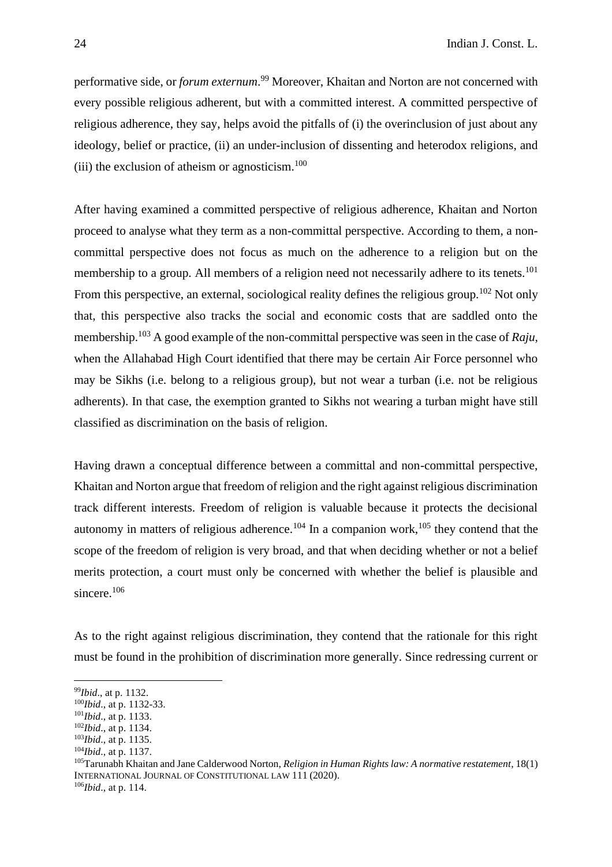performative side, or *forum externum*. <sup>99</sup> Moreover, Khaitan and Norton are not concerned with every possible religious adherent, but with a committed interest. A committed perspective of religious adherence, they say, helps avoid the pitfalls of (i) the overinclusion of just about any ideology, belief or practice, (ii) an under-inclusion of dissenting and heterodox religions, and (iii) the exclusion of atheism or agnosticism.<sup>100</sup>

After having examined a committed perspective of religious adherence, Khaitan and Norton proceed to analyse what they term as a non-committal perspective. According to them, a noncommittal perspective does not focus as much on the adherence to a religion but on the membership to a group. All members of a religion need not necessarily adhere to its tenets.<sup>101</sup> From this perspective, an external, sociological reality defines the religious group.<sup>102</sup> Not only that, this perspective also tracks the social and economic costs that are saddled onto the membership.<sup>103</sup> A good example of the non-committal perspective was seen in the case of *Raju*, when the Allahabad High Court identified that there may be certain Air Force personnel who may be Sikhs (i.e. belong to a religious group), but not wear a turban (i.e. not be religious adherents). In that case, the exemption granted to Sikhs not wearing a turban might have still classified as discrimination on the basis of religion.

Having drawn a conceptual difference between a committal and non-committal perspective, Khaitan and Norton argue that freedom of religion and the right against religious discrimination track different interests. Freedom of religion is valuable because it protects the decisional autonomy in matters of religious adherence.<sup>104</sup> In a companion work,<sup>105</sup> they contend that the scope of the freedom of religion is very broad, and that when deciding whether or not a belief merits protection, a court must only be concerned with whether the belief is plausible and sincere.<sup>106</sup>

As to the right against religious discrimination, they contend that the rationale for this right must be found in the prohibition of discrimination more generally. Since redressing current or

<sup>99</sup>*Ibid*., at p. 1132.

<sup>100</sup>*Ibid*., at p. 1132-33.

<sup>101</sup>*Ibid*., at p. 1133.

<sup>102</sup>*Ibid*., at p. 1134.

<sup>103</sup>*Ibid*., at p. 1135.

<sup>104</sup>*Ibid*., at p. 1137.

<sup>105</sup>Tarunabh Khaitan and Jane Calderwood Norton, *Religion in Human Rights law: A normative restatement*, 18(1) INTERNATIONAL JOURNAL OF CONSTITUTIONAL LAW 111 (2020). 106*Ibid*., at p. 114.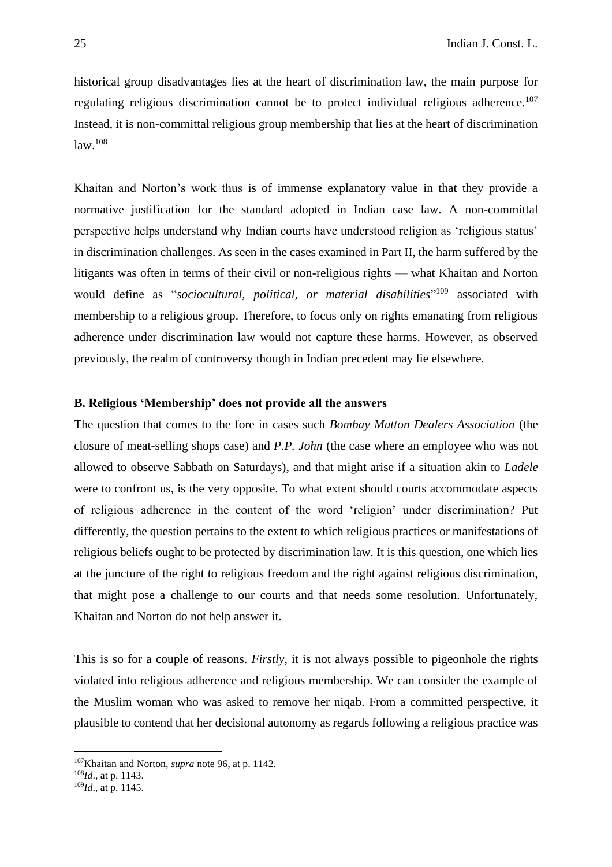historical group disadvantages lies at the heart of discrimination law, the main purpose for regulating religious discrimination cannot be to protect individual religious adherence.<sup>107</sup> Instead, it is non-committal religious group membership that lies at the heart of discrimination law.<sup>108</sup>

Khaitan and Norton's work thus is of immense explanatory value in that they provide a normative justification for the standard adopted in Indian case law. A non-committal perspective helps understand why Indian courts have understood religion as 'religious status' in discrimination challenges. As seen in the cases examined in Part II, the harm suffered by the litigants was often in terms of their civil or non-religious rights — what Khaitan and Norton would define as "*sociocultural, political, or material disabilities*" <sup>109</sup> associated with membership to a religious group. Therefore, to focus only on rights emanating from religious adherence under discrimination law would not capture these harms. However, as observed previously, the realm of controversy though in Indian precedent may lie elsewhere.

# **B. Religious 'Membership' does not provide all the answers**

The question that comes to the fore in cases such *Bombay Mutton Dealers Association* (the closure of meat-selling shops case) and *P.P. John* (the case where an employee who was not allowed to observe Sabbath on Saturdays), and that might arise if a situation akin to *Ladele* were to confront us, is the very opposite. To what extent should courts accommodate aspects of religious adherence in the content of the word 'religion' under discrimination? Put differently, the question pertains to the extent to which religious practices or manifestations of religious beliefs ought to be protected by discrimination law. It is this question, one which lies at the juncture of the right to religious freedom and the right against religious discrimination, that might pose a challenge to our courts and that needs some resolution. Unfortunately, Khaitan and Norton do not help answer it.

This is so for a couple of reasons. *Firstly*, it is not always possible to pigeonhole the rights violated into religious adherence and religious membership. We can consider the example of the Muslim woman who was asked to remove her niqab. From a committed perspective, it plausible to contend that her decisional autonomy as regards following a religious practice was

<sup>107</sup>Khaitan and Norton, *supra* note 96, at p. 1142.

<sup>108</sup>*Id*., at p. 1143.

<sup>109</sup>*Id*., at p. 1145.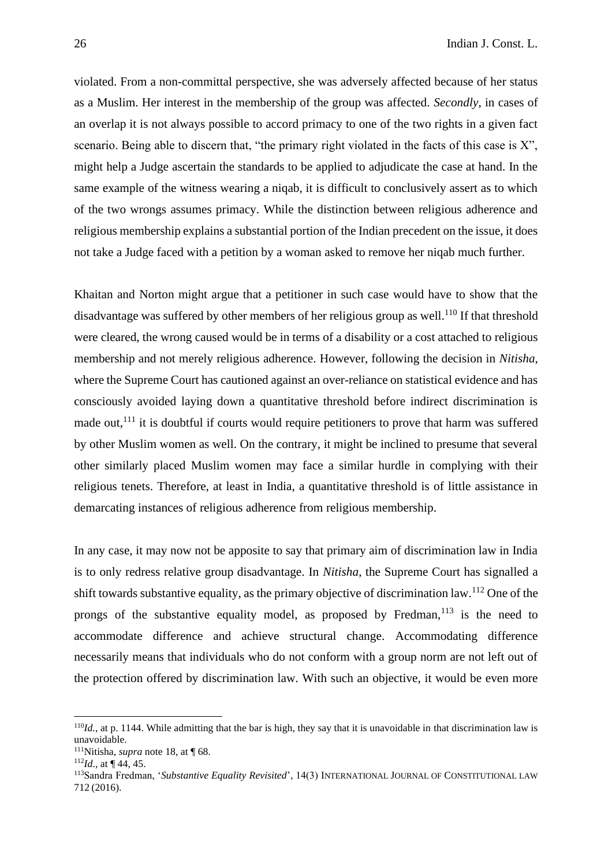violated. From a non-committal perspective, she was adversely affected because of her status as a Muslim. Her interest in the membership of the group was affected. *Secondly*, in cases of an overlap it is not always possible to accord primacy to one of the two rights in a given fact scenario. Being able to discern that, "the primary right violated in the facts of this case is  $X$ ", might help a Judge ascertain the standards to be applied to adjudicate the case at hand. In the same example of the witness wearing a niqab, it is difficult to conclusively assert as to which of the two wrongs assumes primacy. While the distinction between religious adherence and religious membership explains a substantial portion of the Indian precedent on the issue, it does not take a Judge faced with a petition by a woman asked to remove her niqab much further.

Khaitan and Norton might argue that a petitioner in such case would have to show that the disadvantage was suffered by other members of her religious group as well.<sup>110</sup> If that threshold were cleared, the wrong caused would be in terms of a disability or a cost attached to religious membership and not merely religious adherence. However, following the decision in *Nitisha*, where the Supreme Court has cautioned against an over-reliance on statistical evidence and has consciously avoided laying down a quantitative threshold before indirect discrimination is made out,<sup>111</sup> it is doubtful if courts would require petitioners to prove that harm was suffered by other Muslim women as well. On the contrary, it might be inclined to presume that several other similarly placed Muslim women may face a similar hurdle in complying with their religious tenets. Therefore, at least in India, a quantitative threshold is of little assistance in demarcating instances of religious adherence from religious membership.

In any case, it may now not be apposite to say that primary aim of discrimination law in India is to only redress relative group disadvantage. In *Nitisha*, the Supreme Court has signalled a shift towards substantive equality, as the primary objective of discrimination law.<sup>112</sup> One of the prongs of the substantive equality model, as proposed by Fredman,  $113$  is the need to accommodate difference and achieve structural change. Accommodating difference necessarily means that individuals who do not conform with a group norm are not left out of the protection offered by discrimination law. With such an objective, it would be even more

<sup>110</sup>*Id.*, at p. 1144. While admitting that the bar is high, they say that it is unavoidable in that discrimination law is unavoidable.

<sup>111</sup>Nitisha, *supra* note 18, at ¶ 68.

<sup>112</sup>*Id*., at ¶ 44, 45.

<sup>113</sup>Sandra Fredman, '*Substantive Equality Revisited*', 14(3) INTERNATIONAL JOURNAL OF CONSTITUTIONAL LAW 712 (2016).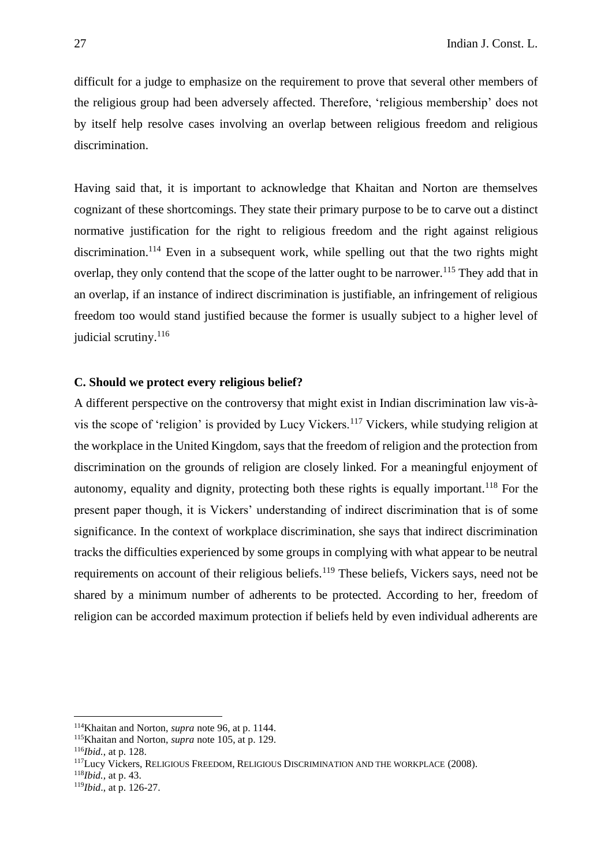difficult for a judge to emphasize on the requirement to prove that several other members of the religious group had been adversely affected. Therefore, 'religious membership' does not by itself help resolve cases involving an overlap between religious freedom and religious discrimination.

Having said that, it is important to acknowledge that Khaitan and Norton are themselves cognizant of these shortcomings. They state their primary purpose to be to carve out a distinct normative justification for the right to religious freedom and the right against religious discrimination.<sup>114</sup> Even in a subsequent work, while spelling out that the two rights might overlap, they only contend that the scope of the latter ought to be narrower.<sup>115</sup> They add that in an overlap, if an instance of indirect discrimination is justifiable, an infringement of religious freedom too would stand justified because the former is usually subject to a higher level of judicial scrutiny.<sup>116</sup>

# **C. Should we protect every religious belief?**

A different perspective on the controversy that might exist in Indian discrimination law vis-àvis the scope of 'religion' is provided by Lucy Vickers.<sup>117</sup> Vickers, while studying religion at the workplace in the United Kingdom, says that the freedom of religion and the protection from discrimination on the grounds of religion are closely linked. For a meaningful enjoyment of autonomy, equality and dignity, protecting both these rights is equally important.<sup>118</sup> For the present paper though, it is Vickers' understanding of indirect discrimination that is of some significance. In the context of workplace discrimination, she says that indirect discrimination tracks the difficulties experienced by some groups in complying with what appear to be neutral requirements on account of their religious beliefs.<sup>119</sup> These beliefs, Vickers says, need not be shared by a minimum number of adherents to be protected. According to her, freedom of religion can be accorded maximum protection if beliefs held by even individual adherents are

<sup>114</sup>Khaitan and Norton, *supra* note 96, at p. 1144.

<sup>115</sup>Khaitan and Norton, *supra* note 105, at p. 129.

<sup>116</sup>*Ibid.*, at p. 128.

<sup>117</sup>Lucy Vickers, RELIGIOUS FREEDOM, RELIGIOUS DISCRIMINATION AND THE WORKPLACE (2008).

<sup>118</sup>*Ibid.,* at p. 43.

<sup>119</sup>*Ibid*., at p. 126-27.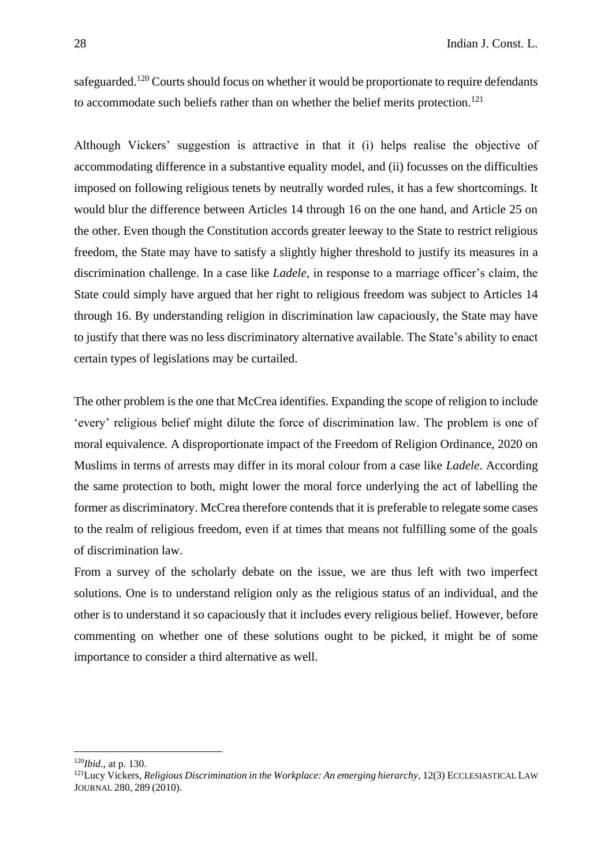safeguarded.<sup>120</sup> Courts should focus on whether it would be proportionate to require defendants to accommodate such beliefs rather than on whether the belief merits protection.<sup>121</sup>

Although Vickers' suggestion is attractive in that it (i) helps realise the objective of accommodating difference in a substantive equality model, and (ii) focusses on the difficulties imposed on following religious tenets by neutrally worded rules, it has a few shortcomings. It would blur the difference between Articles 14 through 16 on the one hand, and Article 25 on the other. Even though the Constitution accords greater leeway to the State to restrict religious freedom, the State may have to satisfy a slightly higher threshold to justify its measures in a discrimination challenge. In a case like *Ladele*, in response to a marriage officer's claim, the State could simply have argued that her right to religious freedom was subject to Articles 14 through 16. By understanding religion in discrimination law capaciously, the State may have to justify that there was no less discriminatory alternative available. The State's ability to enact certain types of legislations may be curtailed.

The other problem is the one that McCrea identifies. Expanding the scope of religion to include 'every' religious belief might dilute the force of discrimination law. The problem is one of moral equivalence. A disproportionate impact of the Freedom of Religion Ordinance, 2020 on Muslims in terms of arrests may differ in its moral colour from a case like *Ladele*. According the same protection to both, might lower the moral force underlying the act of labelling the former as discriminatory. McCrea therefore contends that it is preferable to relegate some cases to the realm of religious freedom, even if at times that means not fulfilling some of the goals of discrimination law.

From a survey of the scholarly debate on the issue, we are thus left with two imperfect solutions. One is to understand religion only as the religious status of an individual, and the other is to understand it so capaciously that it includes every religious belief. However, before commenting on whether one of these solutions ought to be picked, it might be of some importance to consider a third alternative as well.

<sup>120</sup>*Ibid*., at p. 130.

<sup>121</sup>Lucy Vickers, *Religious Discrimination in the Workplace: An emerging hierarchy*, 12(3) ECCLESIASTICAL LAW JOURNAL 280, 289 (2010).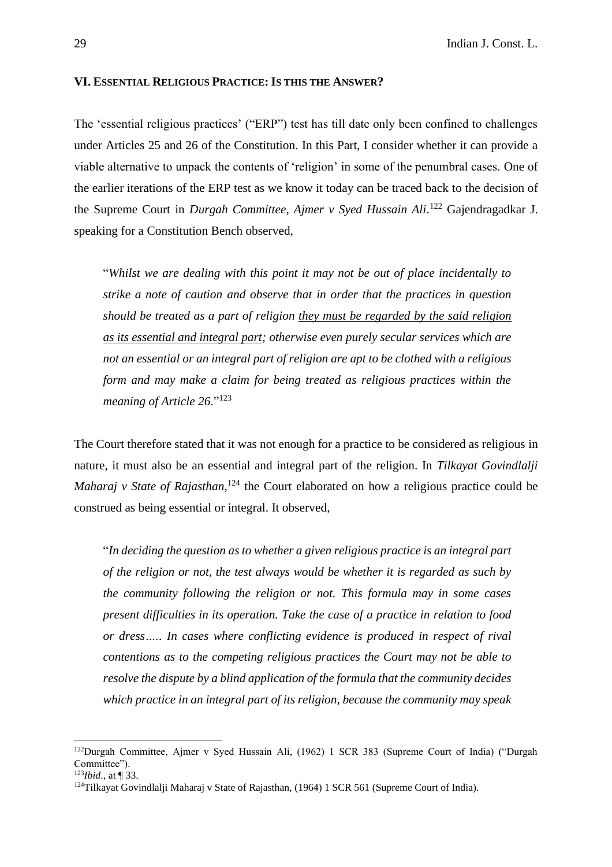### **VI. ESSENTIAL RELIGIOUS PRACTICE: IS THIS THE ANSWER?**

The 'essential religious practices' ("ERP") test has till date only been confined to challenges under Articles 25 and 26 of the Constitution. In this Part, I consider whether it can provide a viable alternative to unpack the contents of 'religion' in some of the penumbral cases. One of the earlier iterations of the ERP test as we know it today can be traced back to the decision of the Supreme Court in *Durgah Committee, Ajmer v Syed Hussain Ali*. <sup>122</sup> Gajendragadkar J. speaking for a Constitution Bench observed,

"*Whilst we are dealing with this point it may not be out of place incidentally to strike a note of caution and observe that in order that the practices in question should be treated as a part of religion they must be regarded by the said religion as its essential and integral part; otherwise even purely secular services which are not an essential or an integral part of religion are apt to be clothed with a religious form and may make a claim for being treated as religious practices within the meaning of Article 26*."<sup>123</sup>

The Court therefore stated that it was not enough for a practice to be considered as religious in nature, it must also be an essential and integral part of the religion. In *Tilkayat Govindlalji* Maharaj v State of Rajasthan,<sup>124</sup> the Court elaborated on how a religious practice could be construed as being essential or integral. It observed,

"*In deciding the question as to whether a given religious practice is an integral part of the religion or not, the test always would be whether it is regarded as such by the community following the religion or not. This formula may in some cases present difficulties in its operation. Take the case of a practice in relation to food or dress….. In cases where conflicting evidence is produced in respect of rival contentions as to the competing religious practices the Court may not be able to resolve the dispute by a blind application of the formula that the community decides which practice in an integral part of its religion, because the community may speak* 

<sup>&</sup>lt;sup>122</sup>Durgah Committee, Ajmer v Syed Hussain Ali, (1962) 1 SCR 383 (Supreme Court of India) ("Durgah Committee").

<sup>123</sup>*Ibid*., at ¶ 33.

 $124$ Tilkayat Govindlalji Maharaj v State of Rajasthan, (1964) 1 SCR 561 (Supreme Court of India).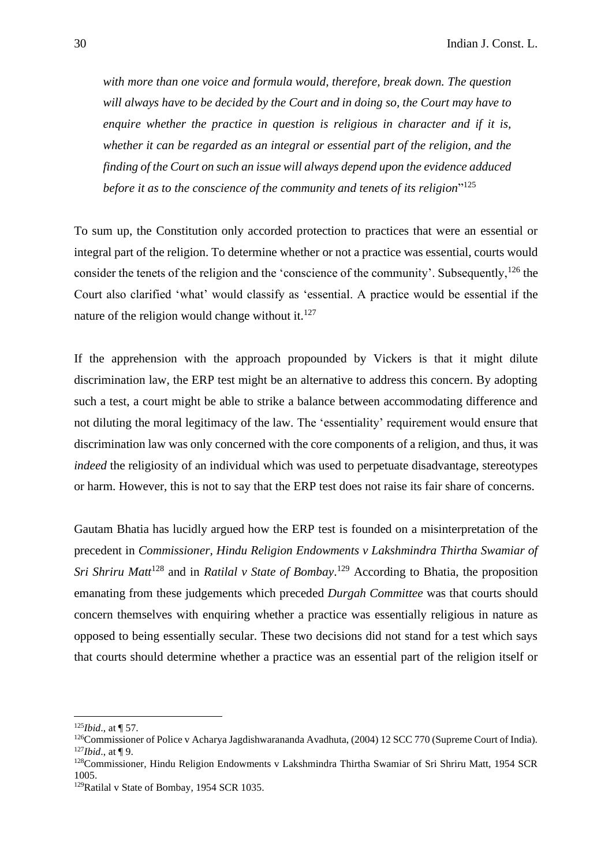*with more than one voice and formula would, therefore, break down. The question will always have to be decided by the Court and in doing so, the Court may have to enquire whether the practice in question is religious in character and if it is, whether it can be regarded as an integral or essential part of the religion, and the finding of the Court on such an issue will always depend upon the evidence adduced before it as to the conscience of the community and tenets of its religion*" 125

To sum up, the Constitution only accorded protection to practices that were an essential or integral part of the religion. To determine whether or not a practice was essential, courts would consider the tenets of the religion and the 'conscience of the community'. Subsequently,<sup>126</sup> the Court also clarified 'what' would classify as 'essential. A practice would be essential if the nature of the religion would change without it. $127$ 

If the apprehension with the approach propounded by Vickers is that it might dilute discrimination law, the ERP test might be an alternative to address this concern. By adopting such a test, a court might be able to strike a balance between accommodating difference and not diluting the moral legitimacy of the law. The 'essentiality' requirement would ensure that discrimination law was only concerned with the core components of a religion, and thus, it was *indeed* the religiosity of an individual which was used to perpetuate disadvantage, stereotypes or harm. However, this is not to say that the ERP test does not raise its fair share of concerns.

Gautam Bhatia has lucidly argued how the ERP test is founded on a misinterpretation of the precedent in *Commissioner, Hindu Religion Endowments v Lakshmindra Thirtha Swamiar of Sri Shriru Matt*<sup>128</sup> and in *Ratilal v State of Bombay*. <sup>129</sup> According to Bhatia, the proposition emanating from these judgements which preceded *Durgah Committee* was that courts should concern themselves with enquiring whether a practice was essentially religious in nature as opposed to being essentially secular. These two decisions did not stand for a test which says that courts should determine whether a practice was an essential part of the religion itself or

<sup>125</sup>*Ibid*., at ¶ 57.

<sup>&</sup>lt;sup>126</sup>Commissioner of Police v Acharya Jagdishwarananda Avadhuta, (2004) 12 SCC 770 (Supreme Court of India). <sup>127</sup>*Ibid*., at ¶ 9.

<sup>128</sup>Commissioner, Hindu Religion Endowments v Lakshmindra Thirtha Swamiar of Sri Shriru Matt, 1954 SCR 1005.

<sup>&</sup>lt;sup>129</sup>Ratilal v State of Bombay, 1954 SCR 1035.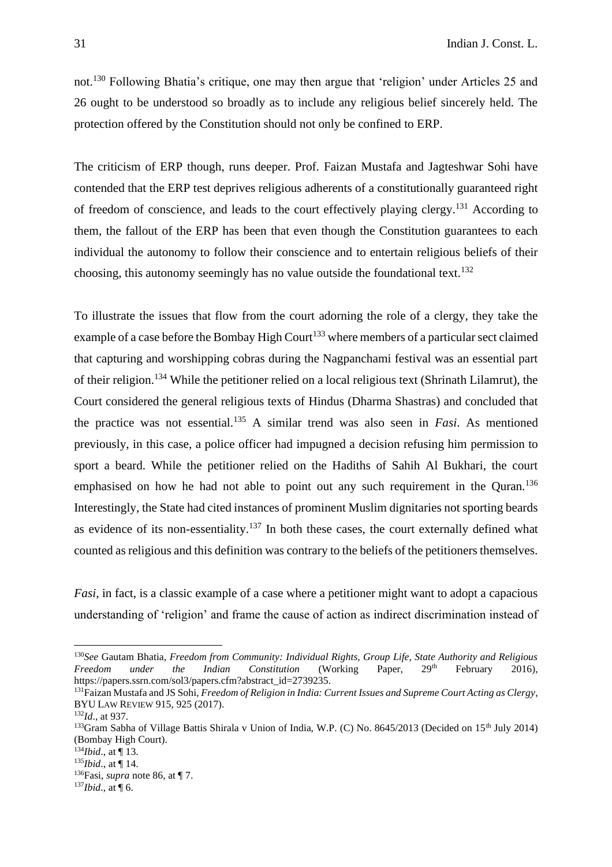not.<sup>130</sup> Following Bhatia's critique, one may then argue that 'religion' under Articles 25 and 26 ought to be understood so broadly as to include any religious belief sincerely held. The protection offered by the Constitution should not only be confined to ERP.

The criticism of ERP though, runs deeper. Prof. Faizan Mustafa and Jagteshwar Sohi have contended that the ERP test deprives religious adherents of a constitutionally guaranteed right of freedom of conscience, and leads to the court effectively playing clergy.<sup>131</sup> According to them, the fallout of the ERP has been that even though the Constitution guarantees to each individual the autonomy to follow their conscience and to entertain religious beliefs of their choosing, this autonomy seemingly has no value outside the foundational text.<sup>132</sup>

To illustrate the issues that flow from the court adorning the role of a clergy, they take the example of a case before the Bombay High Court<sup>133</sup> where members of a particular sect claimed that capturing and worshipping cobras during the Nagpanchami festival was an essential part of their religion.<sup>134</sup> While the petitioner relied on a local religious text (Shrinath Lilamrut), the Court considered the general religious texts of Hindus (Dharma Shastras) and concluded that the practice was not essential.<sup>135</sup> A similar trend was also seen in *Fasi*. As mentioned previously, in this case, a police officer had impugned a decision refusing him permission to sport a beard. While the petitioner relied on the Hadiths of Sahih Al Bukhari, the court emphasised on how he had not able to point out any such requirement in the Quran.<sup>136</sup> Interestingly, the State had cited instances of prominent Muslim dignitaries not sporting beards as evidence of its non-essentiality.<sup>137</sup> In both these cases, the court externally defined what counted as religious and this definition was contrary to the beliefs of the petitioners themselves.

*Fasi*, in fact, is a classic example of a case where a petitioner might want to adopt a capacious understanding of 'religion' and frame the cause of action as indirect discrimination instead of

<sup>130</sup>*See* Gautam Bhatia, *Freedom from Community: Individual Rights, Group Life, State Authority and Religious Freedom under the Indian Constitution* (Working Paper, 29<sup>th</sup> February 2016), https://papers.ssrn.com/sol3/papers.cfm?abstract\_id=2739235.

<sup>131</sup>Faizan Mustafa and JS Sohi, *Freedom of Religion in India: Current Issues and Supreme Court Acting as Clergy*, BYU LAW REVIEW 915, 925 (2017).

<sup>132</sup>*Id*., at 937.

<sup>&</sup>lt;sup>133</sup>Gram Sabha of Village Battis Shirala v Union of India, W.P. (C) No. 8645/2013 (Decided on 15<sup>th</sup> July 2014) (Bombay High Court).

<sup>134</sup>*Ibid*., at ¶ 13.

<sup>135</sup>*Ibid*., at ¶ 14.

<sup>136</sup>Fasi, *supra* note 86, at ¶ 7.

<sup>137</sup>*Ibid*., at ¶ 6.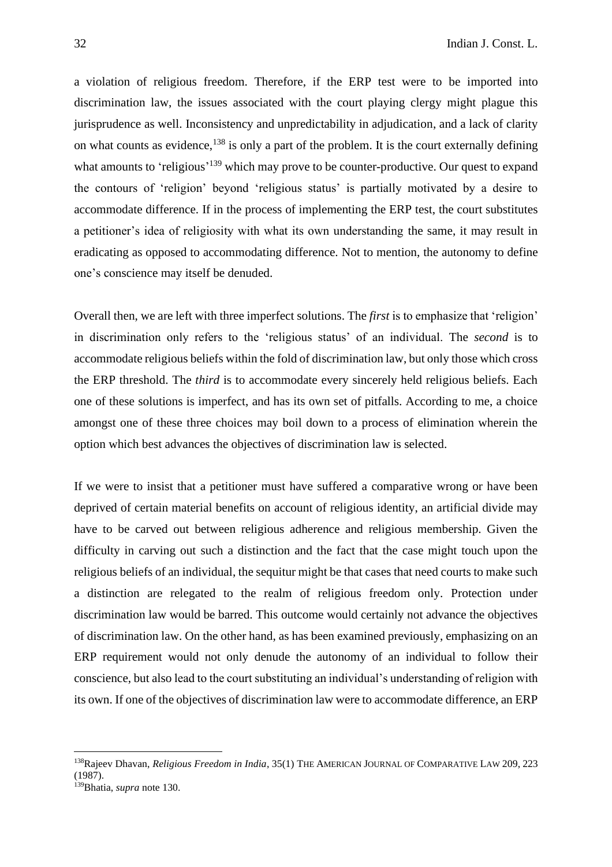a violation of religious freedom. Therefore, if the ERP test were to be imported into discrimination law, the issues associated with the court playing clergy might plague this jurisprudence as well. Inconsistency and unpredictability in adjudication, and a lack of clarity on what counts as evidence,  $138$  is only a part of the problem. It is the court externally defining what amounts to 'religious'<sup>139</sup> which may prove to be counter-productive. Our quest to expand the contours of 'religion' beyond 'religious status' is partially motivated by a desire to accommodate difference. If in the process of implementing the ERP test, the court substitutes a petitioner's idea of religiosity with what its own understanding the same, it may result in eradicating as opposed to accommodating difference. Not to mention, the autonomy to define one's conscience may itself be denuded.

Overall then, we are left with three imperfect solutions. The *first* is to emphasize that 'religion' in discrimination only refers to the 'religious status' of an individual. The *second* is to accommodate religious beliefs within the fold of discrimination law, but only those which cross the ERP threshold. The *third* is to accommodate every sincerely held religious beliefs. Each one of these solutions is imperfect, and has its own set of pitfalls. According to me, a choice amongst one of these three choices may boil down to a process of elimination wherein the option which best advances the objectives of discrimination law is selected.

If we were to insist that a petitioner must have suffered a comparative wrong or have been deprived of certain material benefits on account of religious identity, an artificial divide may have to be carved out between religious adherence and religious membership. Given the difficulty in carving out such a distinction and the fact that the case might touch upon the religious beliefs of an individual, the sequitur might be that cases that need courts to make such a distinction are relegated to the realm of religious freedom only. Protection under discrimination law would be barred. This outcome would certainly not advance the objectives of discrimination law. On the other hand, as has been examined previously, emphasizing on an ERP requirement would not only denude the autonomy of an individual to follow their conscience, but also lead to the court substituting an individual's understanding of religion with its own. If one of the objectives of discrimination law were to accommodate difference, an ERP

<sup>138</sup>Rajeev Dhavan, *Religious Freedom in India*, 35(1) THE AMERICAN JOURNAL OF COMPARATIVE LAW 209, 223 (1987).

<sup>139</sup>Bhatia, *supra* note 130.